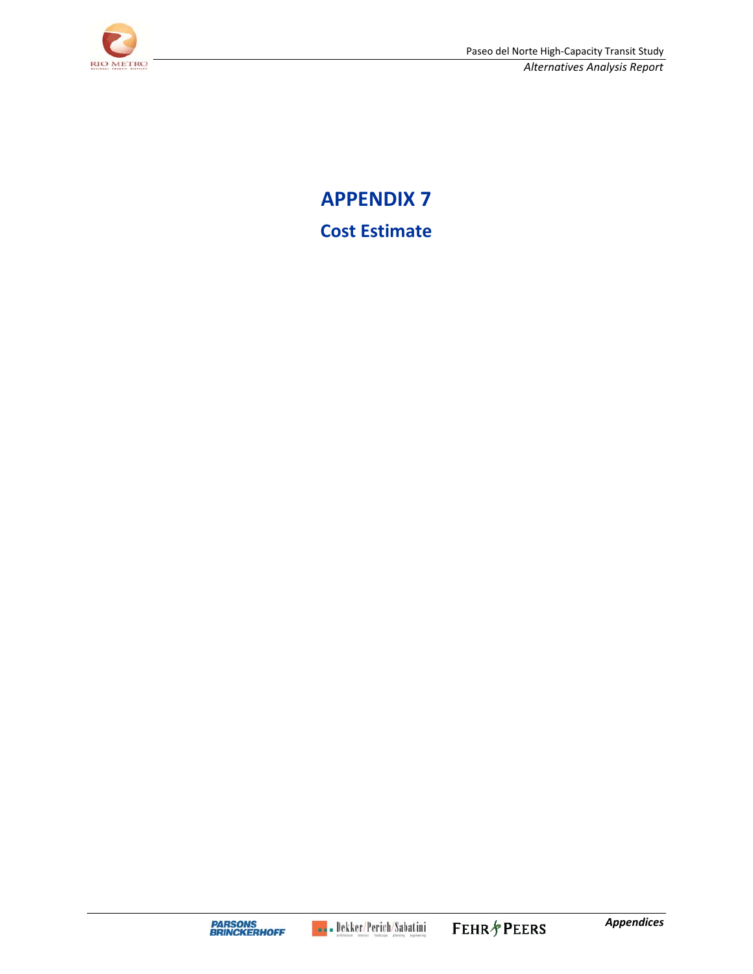

**APPENDIX 7 Cost Estimate**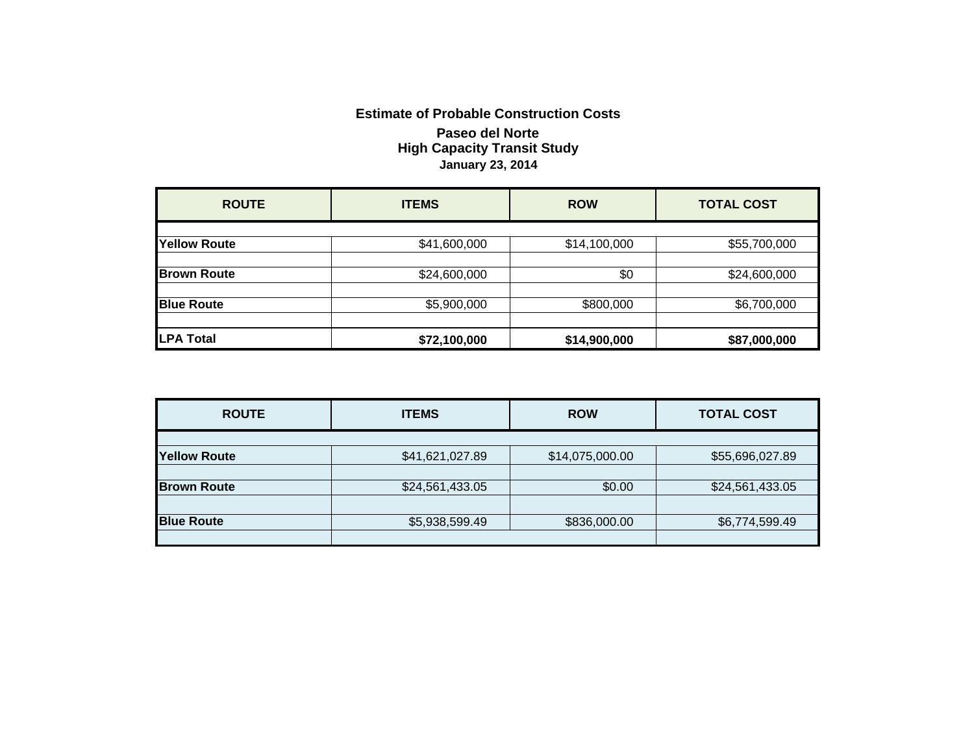## **Estimate of Probable Construction Costs Paseo del Norte High Capacity Transit Study January 23, 2014**

| <b>ROUTE</b>        | <b>ITEMS</b> | <b>ROW</b>   | <b>TOTAL COST</b> |
|---------------------|--------------|--------------|-------------------|
| <b>Yellow Route</b> | \$41,600,000 | \$14,100,000 | \$55,700,000      |
| <b>Brown Route</b>  | \$24,600,000 | \$0          | \$24,600,000      |
| <b>Blue Route</b>   | \$5,900,000  | \$800,000    | \$6,700,000       |
| <b>LPA Total</b>    | \$72,100,000 | \$14,900,000 | \$87,000,000      |

| <b>ROUTE</b>        | <b>ITEMS</b>    | <b>ROW</b>      | <b>TOTAL COST</b> |
|---------------------|-----------------|-----------------|-------------------|
|                     |                 |                 |                   |
| <b>Yellow Route</b> | \$41,621,027.89 | \$14,075,000.00 | \$55,696,027.89   |
|                     |                 |                 |                   |
| <b>Brown Route</b>  | \$24,561,433.05 | \$0.00          | \$24,561,433.05   |
|                     |                 |                 |                   |
| <b>Blue Route</b>   | \$5,938,599.49  | \$836,000.00    | \$6,774,599.49    |
|                     |                 |                 |                   |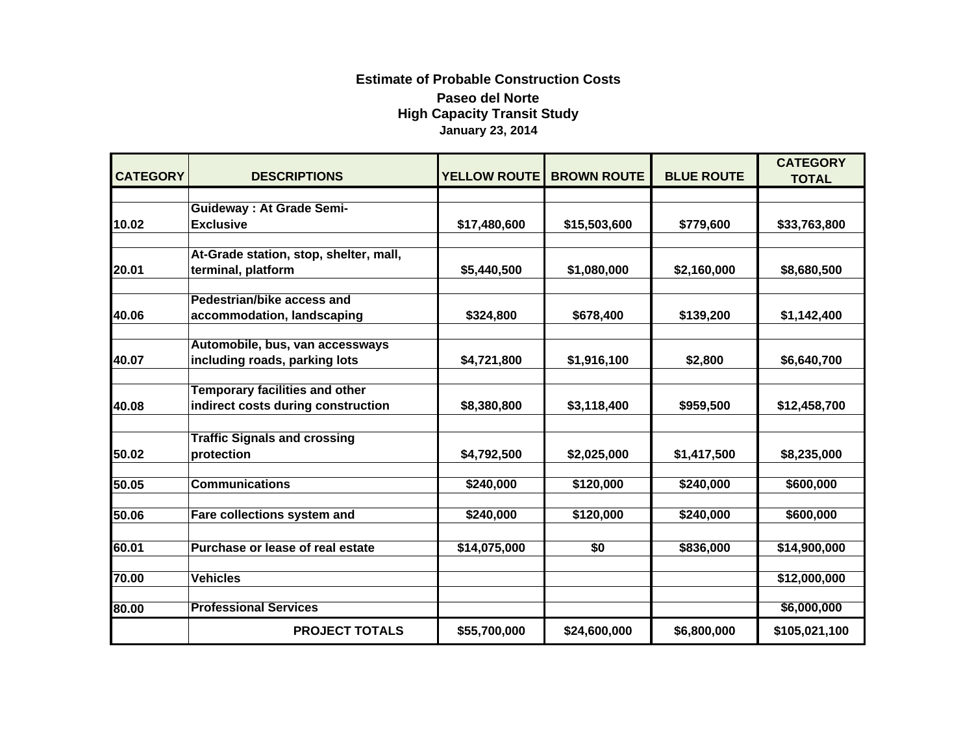## **Estimate of Probable Construction Costs Paseo del Norte High Capacity Transit Study January 23, 2014**

|                 |                                                     |                     |                    |                   | <b>CATEGORY</b> |
|-----------------|-----------------------------------------------------|---------------------|--------------------|-------------------|-----------------|
| <b>CATEGORY</b> | <b>DESCRIPTIONS</b>                                 | <b>YELLOW ROUTE</b> | <b>BROWN ROUTE</b> | <b>BLUE ROUTE</b> | <b>TOTAL</b>    |
|                 |                                                     |                     |                    |                   |                 |
| 10.02           | <b>Guideway: At Grade Semi-</b><br><b>Exclusive</b> |                     |                    |                   |                 |
|                 |                                                     | \$17,480,600        | \$15,503,600       | \$779,600         | \$33,763,800    |
|                 | At-Grade station, stop, shelter, mall,              |                     |                    |                   |                 |
| 20.01           | terminal, platform                                  | \$5,440,500         | \$1,080,000        | \$2,160,000       | \$8,680,500     |
|                 |                                                     |                     |                    |                   |                 |
|                 | Pedestrian/bike access and                          |                     |                    |                   |                 |
| 40.06           | accommodation, landscaping                          | \$324,800           | \$678,400          | \$139,200         | \$1,142,400     |
|                 | Automobile, bus, van accessways                     |                     |                    |                   |                 |
| 40.07           | including roads, parking lots                       | \$4,721,800         | \$1,916,100        | \$2,800           | \$6,640,700     |
|                 |                                                     |                     |                    |                   |                 |
|                 | <b>Temporary facilities and other</b>               |                     |                    |                   |                 |
| 40.08           | indirect costs during construction                  | \$8,380,800         | \$3,118,400        | \$959,500         | \$12,458,700    |
|                 |                                                     |                     |                    |                   |                 |
|                 | <b>Traffic Signals and crossing</b>                 |                     |                    |                   |                 |
| 50.02           | protection                                          | \$4,792,500         | \$2,025,000        | \$1,417,500       | \$8,235,000     |
|                 |                                                     |                     |                    |                   |                 |
| 50.05           | <b>Communications</b>                               | \$240,000           | \$120,000          | \$240,000         | \$600,000       |
| 50.06           | Fare collections system and                         | \$240,000           | \$120,000          | \$240,000         | \$600,000       |
|                 |                                                     |                     |                    |                   |                 |
| 60.01           | Purchase or lease of real estate                    | \$14,075,000        | \$0                | \$836,000         | \$14,900,000    |
|                 |                                                     |                     |                    |                   |                 |
| 70.00           | <b>Vehicles</b>                                     |                     |                    |                   | \$12,000,000    |
|                 |                                                     |                     |                    |                   |                 |
| 80.00           | <b>Professional Services</b>                        |                     |                    |                   | \$6,000,000     |
|                 | <b>PROJECT TOTALS</b>                               | \$55,700,000        | \$24,600,000       | \$6,800,000       | \$105,021,100   |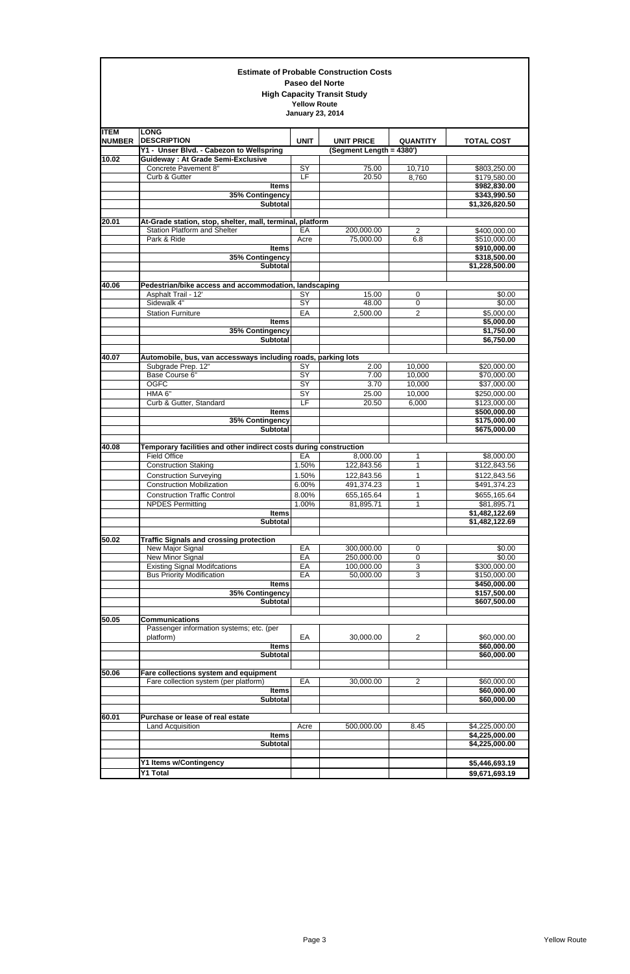|                              |                                                                               | <b>Paseo del Norte</b>                         | <b>Estimate of Probable Construction Costs</b><br><b>High Capacity Transit Study</b> |                     |                              |
|------------------------------|-------------------------------------------------------------------------------|------------------------------------------------|--------------------------------------------------------------------------------------|---------------------|------------------------------|
|                              |                                                                               | <b>Yellow Route</b><br><b>January 23, 2014</b> |                                                                                      |                     |                              |
| <b>ITEM</b><br><b>NUMBER</b> | <b>LONG</b><br><b>DESCRIPTION</b><br>Y1 - Unser Blvd. - Cabezon to Wellspring | <b>UNIT</b>                                    | <b>UNIT PRICE</b><br>(Segment Length = 4380')                                        | <b>QUANTITY</b>     | <b>TOTAL COST</b>            |
| 10.02                        | <b>Guideway: At Grade Semi-Exclusive</b>                                      |                                                |                                                                                      |                     |                              |
|                              | Concrete Pavement 8"                                                          | $\overline{SY}$                                | 75.00                                                                                | 10,710              | \$803,250.00                 |
|                              | Curb & Gutter                                                                 | LF                                             | 20.50                                                                                | 8,760               | \$179,580.00                 |
|                              | <b>Items</b>                                                                  |                                                |                                                                                      |                     | \$982,830.00                 |
|                              | 35% Contingency<br><b>Subtotal</b>                                            |                                                |                                                                                      |                     | \$343,990.50                 |
|                              |                                                                               |                                                |                                                                                      |                     | \$1,326,820.50               |
| 20.01                        | At-Grade station, stop, shelter, mall, terminal, platform                     |                                                |                                                                                      |                     |                              |
|                              | <b>Station Platform and Shelter</b>                                           | EA                                             | 200,000.00                                                                           | $\overline{2}$      | \$400,000.00                 |
|                              | Park & Ride                                                                   | Acre                                           | 75,000.00                                                                            | 6.8                 | \$510,000.00                 |
|                              | <b>Items</b><br>35% Contingency                                               |                                                |                                                                                      |                     | \$910,000.00<br>\$318,500.00 |
|                              | <b>Subtotal</b>                                                               |                                                |                                                                                      |                     | \$1,228,500.00               |
|                              |                                                                               |                                                |                                                                                      |                     |                              |
| 40.06                        | Pedestrian/bike access and accommodation, landscaping                         |                                                |                                                                                      |                     |                              |
|                              | Asphalt Trail - 12'                                                           | SY<br>$\overline{SY}$                          | 15.00                                                                                | 0                   | \$0.00                       |
|                              | Sidewalk 4"<br><b>Station Furniture</b>                                       | EA                                             | 48.00<br>2,500.00                                                                    | 0<br>$\overline{2}$ | \$0.00                       |
|                              | <b>Items</b>                                                                  |                                                |                                                                                      |                     | \$5,000.00<br>\$5,000.00     |
|                              | 35% Contingency                                                               |                                                |                                                                                      |                     | \$1,750.00                   |
|                              | <b>Subtotal</b>                                                               |                                                |                                                                                      |                     | \$6,750.00                   |
| 40.07                        | Automobile, bus, van accessways including roads, parking lots                 |                                                |                                                                                      |                     |                              |
|                              | Subgrade Prep. 12"<br>Base Course 6"                                          | SY<br>SY                                       | 2.00<br>7.00                                                                         | 10,000<br>10,000    | \$20,000.00<br>\$70,000.00   |
|                              | <b>OGFC</b>                                                                   | $\overline{SY}$                                | 3.70                                                                                 | 10,000              | \$37,000.00                  |
|                              | HMA 6"                                                                        | SY                                             | 25.00                                                                                | 10,000              | \$250,000.00                 |
|                              | Curb & Gutter, Standard                                                       | E                                              | 20.50                                                                                | 6,000               | \$123,000.00                 |
|                              | Items                                                                         |                                                |                                                                                      |                     | \$500,000.00                 |
|                              | 35% Contingency<br>Subtotal                                                   |                                                |                                                                                      |                     | \$175,000.00<br>\$675,000.00 |
| 40.08                        | Temporary facilities and other indirect costs during construction             |                                                |                                                                                      |                     |                              |
|                              | <b>Field Office</b>                                                           | EA                                             | 8,000.00                                                                             | 1                   | \$8,000.00                   |
|                              | <b>Construction Staking</b>                                                   | 1.50%                                          | 122,843.56                                                                           | 1                   | \$122,843.56                 |
|                              | <b>Construction Surveying</b>                                                 | 1.50%                                          | 122,843.56                                                                           | 1                   | \$122,843.56                 |
|                              | <b>Construction Mobilization</b>                                              | 6.00%                                          | 491,374.23                                                                           | 1                   | \$491,374.23                 |
|                              | <b>Construction Traffic Control</b><br><b>NPDES Permitting</b>                | 8.00%<br>1.00%                                 | 655,165.64<br>81,895.71                                                              | 1<br>1              | \$655,165.64<br>\$81,895.71  |
|                              | <b>Items</b>                                                                  |                                                |                                                                                      |                     | \$1,482,122.69               |
|                              | <b>Subtotal</b>                                                               |                                                |                                                                                      |                     | \$1,482,122.69               |
| 50.02                        | <b>Traffic Signals and crossing protection</b>                                |                                                |                                                                                      |                     |                              |
|                              | New Major Signal                                                              | EA                                             | 300,000.00                                                                           | 0                   | \$0.00                       |
|                              | New Minor Signal                                                              | EA                                             | 250,000.00                                                                           | 0                   | \$0.00                       |
|                              | <b>Existing Signal Modifcations</b>                                           | EA                                             | 100,000.00                                                                           | 3                   | \$300,000.00                 |
|                              | <b>Bus Priority Modification</b>                                              | EA                                             | 50,000.00                                                                            | 3                   | \$150,000.00                 |
|                              | <b>Items</b><br>35% Contingency                                               |                                                |                                                                                      |                     | \$450,000.00<br>\$157,500.00 |
|                              | <b>Subtotal</b>                                                               |                                                |                                                                                      |                     | \$607,500.00                 |
|                              |                                                                               |                                                |                                                                                      |                     |                              |
| 50.05                        | <b>Communications</b>                                                         |                                                |                                                                                      |                     |                              |
|                              | Passenger information systems; etc. (per                                      |                                                |                                                                                      |                     |                              |
|                              | platform)<br><b>Items</b>                                                     | EA                                             | 30,000.00                                                                            | $\overline{c}$      | \$60,000.00<br>\$60,000.00   |
|                              | <b>Subtotal</b>                                                               |                                                |                                                                                      |                     | \$60,000.00                  |
|                              |                                                                               |                                                |                                                                                      |                     |                              |
| 50.06                        | Fare collections system and equipment                                         |                                                |                                                                                      |                     |                              |
|                              | Fare collection system (per platform)                                         | EA                                             | 30,000.00                                                                            | 2                   | \$60,000.00                  |
|                              | <b>Items</b><br><b>Subtotal</b>                                               |                                                |                                                                                      |                     | \$60,000.00<br>\$60,000.00   |
|                              |                                                                               |                                                |                                                                                      |                     |                              |
| 60.01                        | Purchase or lease of real estate                                              |                                                |                                                                                      |                     |                              |
|                              | Land Acquisition                                                              | Acre                                           | 500,000.00                                                                           | 8.45                | \$4,225,000.00               |
|                              | <b>Items</b>                                                                  |                                                |                                                                                      |                     | \$4,225,000.00               |
|                              | Subtotal                                                                      |                                                |                                                                                      |                     | \$4,225,000.00               |
|                              | <b>Y1 Items w/Contingency</b>                                                 |                                                |                                                                                      |                     | \$5,446,693.19               |
|                              | Y1 Total                                                                      |                                                |                                                                                      |                     | \$9,671,693.19               |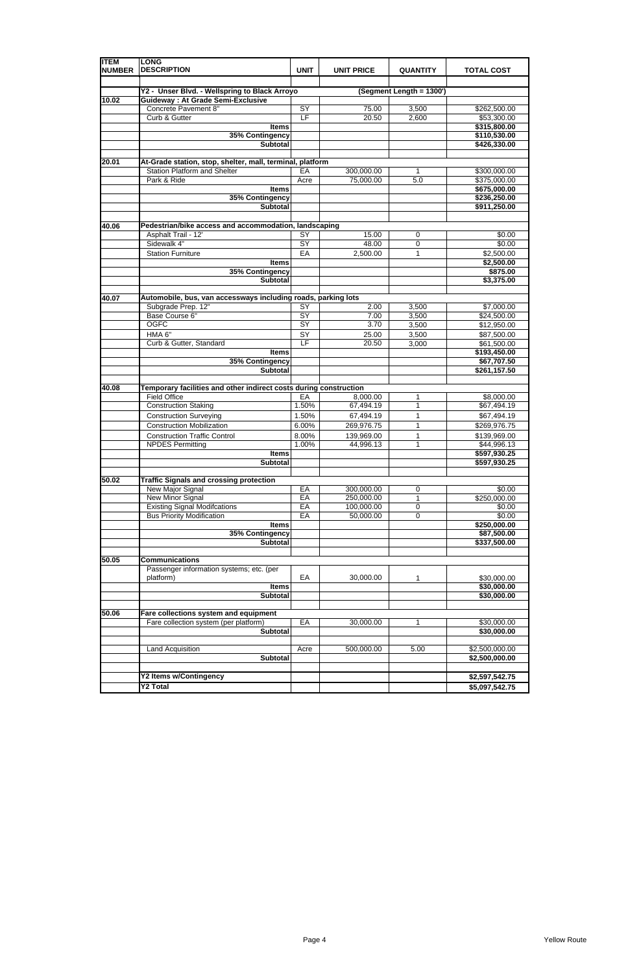| <b>ITEM</b><br><b>NUMBER</b> | <b>LONG</b><br><b>DESCRIPTION</b>                                 | <b>UNIT</b>     | <b>UNIT PRICE</b>        | <b>QUANTITY</b>          | <b>TOTAL COST</b>            |
|------------------------------|-------------------------------------------------------------------|-----------------|--------------------------|--------------------------|------------------------------|
|                              |                                                                   |                 |                          |                          |                              |
|                              | Y2 - Unser Blvd. - Wellspring to Black Arroyo                     |                 |                          | (Segment Length = 1300') |                              |
| 10.02                        | <b>Guideway: At Grade Semi-Exclusive</b>                          |                 |                          |                          |                              |
|                              | Concrete Pavement 8"<br>Curb & Gutter                             | SY<br>E         | 75.00<br>20.50           | 3,500<br>2,600           | \$262,500.00                 |
|                              | <b>Items</b>                                                      |                 |                          |                          | \$53,300.00<br>\$315,800.00  |
|                              | 35% Contingency                                                   |                 |                          |                          | \$110,530.00                 |
|                              | <b>Subtotal</b>                                                   |                 |                          |                          | \$426,330.00                 |
|                              |                                                                   |                 |                          |                          |                              |
| 20.01                        | At-Grade station, stop, shelter, mall, terminal, platform         |                 |                          |                          |                              |
|                              | <b>Station Platform and Shelter</b>                               | EA              | 300,000.00               | 1                        | \$300,000.00                 |
|                              | Park & Ride                                                       | Acre            | 75,000.00                | 5.0                      | \$375,000.00                 |
|                              | <b>Items</b>                                                      |                 |                          |                          | \$675,000.00                 |
|                              | 35% Contingency<br><b>Subtotal</b>                                |                 |                          |                          | \$236,250.00<br>\$911,250.00 |
|                              |                                                                   |                 |                          |                          |                              |
| 40.06                        | Pedestrian/bike access and accommodation, landscaping             |                 |                          |                          |                              |
|                              | Asphalt Trail - 12'                                               | SY              | 15.00                    | 0                        | \$0.00                       |
|                              | Sidewalk 4"                                                       | SY              | 48.00                    | 0                        | \$0.00                       |
|                              | <b>Station Furniture</b>                                          | EA              | 2,500.00                 | 1                        | \$2,500.00                   |
|                              | <b>Items</b>                                                      |                 |                          |                          | \$2,500.00                   |
|                              | 35% Contingency                                                   |                 |                          |                          | \$875.00                     |
|                              | <b>Subtotal</b>                                                   |                 |                          |                          | \$3,375.00                   |
| 40.07                        | Automobile, bus, van accessways including roads, parking lots     |                 |                          |                          |                              |
|                              | Subgrade Prep. 12"                                                | SY              | 2.00                     | 3,500                    | \$7,000.00                   |
|                              | Base Course 6"                                                    | SY              | 7.00                     | 3,500                    | \$24,500.00                  |
|                              | <b>OGFC</b>                                                       | $\overline{SY}$ | 3.70                     | 3,500                    | \$12,950.00                  |
|                              | HMA <sub>6"</sub>                                                 | SY              | 25.00                    | 3,500                    | \$87,500.00                  |
|                              | Curb & Gutter, Standard                                           | E               | 20.50                    | 3,000                    | \$61,500.00                  |
|                              | <b>Items</b>                                                      |                 |                          |                          | \$193,450.00                 |
|                              | 35% Contingency                                                   |                 |                          |                          | \$67,707.50                  |
|                              | <b>Subtotal</b>                                                   |                 |                          |                          | \$261,157.50                 |
|                              | Temporary facilities and other indirect costs during construction |                 |                          |                          |                              |
| 40.08                        | <b>Field Office</b>                                               | EA              | 8,000.00                 | 1                        | \$8,000.00                   |
|                              | <b>Construction Staking</b>                                       | 1.50%           | 67,494.19                | $\mathbf{1}$             | \$67,494.19                  |
|                              | <b>Construction Surveying</b>                                     | 1.50%           | 67,494.19                | 1                        | \$67,494.19                  |
|                              | <b>Construction Mobilization</b>                                  | 6.00%           | 269,976.75               | 1                        | \$269,976.75                 |
|                              | <b>Construction Traffic Control</b>                               | 8.00%           | 139,969.00               | 1                        | \$139,969.00                 |
|                              | <b>NPDES Permitting</b>                                           | 1.00%           | 44,996.13                | 1                        | \$44,996.13                  |
|                              | <b>Items</b>                                                      |                 |                          |                          | \$597,930.25                 |
|                              | <b>Subtotal</b>                                                   |                 |                          |                          | \$597,930.25                 |
|                              |                                                                   |                 |                          |                          |                              |
| 50.02                        | <b>Traffic Signals and crossing protection</b>                    |                 |                          |                          |                              |
|                              | New Major Signal                                                  | EA              | 300,000.00               | 0                        | \$0.00                       |
|                              | New Minor Signal<br><b>Existing Signal Modifcations</b>           | EA<br>EA        | 250,000.00<br>100,000.00 | 1                        | \$250,000.00                 |
|                              | <b>Bus Priority Modification</b>                                  | EA              | 50,000.00                | $\boldsymbol{0}$<br>0    | \$0.00<br>\$0.00             |
|                              | <b>Items</b>                                                      |                 |                          |                          | \$250,000.00                 |
|                              | 35% Contingency                                                   |                 |                          |                          | \$87,500.00                  |
|                              | <b>Subtotal</b>                                                   |                 |                          |                          | \$337,500.00                 |
|                              |                                                                   |                 |                          |                          |                              |
| 50.05                        | <b>Communications</b>                                             |                 |                          |                          |                              |
|                              | Passenger information systems; etc. (per                          |                 |                          |                          |                              |
|                              | platform)                                                         | EA              | 30,000.00                | 1                        | \$30,000.00<br>\$30,000.00   |
|                              | <b>Items</b><br><b>Subtotal</b>                                   |                 |                          |                          | \$30,000.00                  |
|                              |                                                                   |                 |                          |                          |                              |
| 50.06                        | Fare collections system and equipment                             |                 |                          |                          |                              |
|                              | Fare collection system (per platform)                             | EA              | 30,000.00                | 1                        | \$30,000.00                  |
|                              | <b>Subtotal</b>                                                   |                 |                          |                          | \$30,000.00                  |
|                              |                                                                   |                 |                          |                          |                              |
|                              | Land Acquisition                                                  | Acre            | 500,000.00               | 5.00                     | \$2,500,000.00               |
|                              | <b>Subtotal</b>                                                   |                 |                          |                          | \$2,500,000.00               |
|                              | Y2 Items w/Contingency                                            |                 |                          |                          | \$2,597,542.75               |
|                              | <b>Y2 Total</b>                                                   |                 |                          |                          | \$5,097,542.75               |
|                              |                                                                   |                 |                          |                          |                              |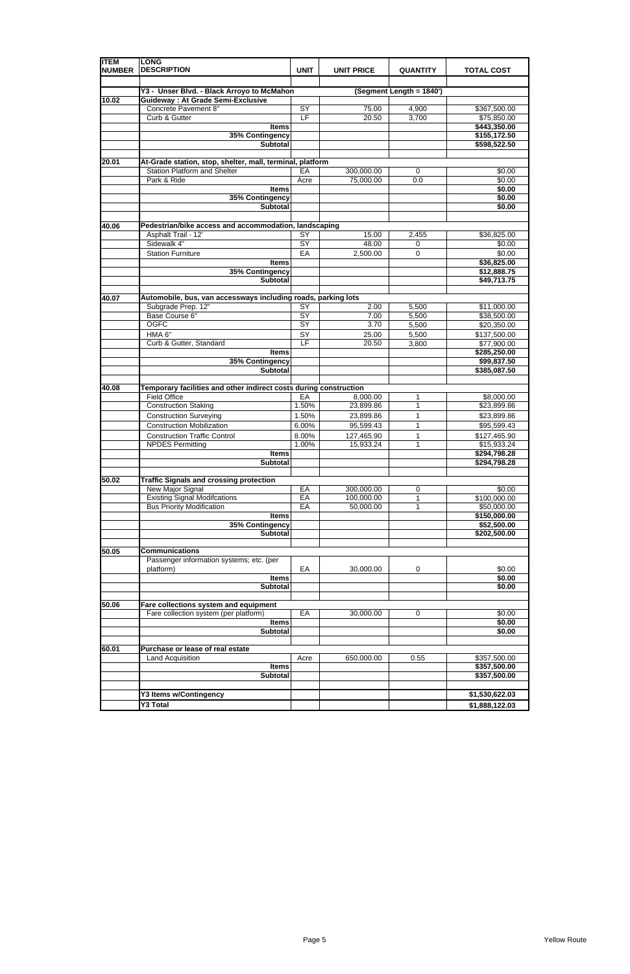| <b>ITEM</b><br><b>NUMBER</b> | <b>LONG</b><br><b>DESCRIPTION</b>                                                      | <b>UNIT</b>     | <b>UNIT PRICE</b>        | <b>QUANTITY</b>          | <b>TOTAL COST</b>            |
|------------------------------|----------------------------------------------------------------------------------------|-----------------|--------------------------|--------------------------|------------------------------|
|                              |                                                                                        |                 |                          |                          |                              |
| 10.02                        | Y3 - Unser Blvd. - Black Arroyo to McMahon<br><b>Guideway: At Grade Semi-Exclusive</b> |                 |                          | (Segment Length = 1840') |                              |
|                              | Concrete Pavement 8"                                                                   | SY              | 75.00                    | 4,900                    | \$367,500.00                 |
|                              | Curb & Gutter                                                                          | LF              | 20.50                    | 3,700                    | \$75,850.00                  |
|                              | <b>Items</b>                                                                           |                 |                          |                          | \$443,350.00                 |
|                              | 35% Contingency<br><b>Subtotal</b>                                                     |                 |                          |                          | \$155,172.50<br>\$598,522.50 |
|                              |                                                                                        |                 |                          |                          |                              |
| 20.01                        | At-Grade station, stop, shelter, mall, terminal, platform                              |                 |                          |                          |                              |
|                              | <b>Station Platform and Shelter</b>                                                    | EA              | 300,000.00               | 0                        | \$0.00                       |
|                              | Park & Ride<br><b>Items</b>                                                            | Acre            | 75,000.00                | 0.0                      | \$0.00<br>\$0.00             |
|                              | 35% Contingency<br><b>Subtotal</b>                                                     |                 |                          |                          | \$0.00<br>\$0.00             |
| 40.06                        | Pedestrian/bike access and accommodation, landscaping                                  |                 |                          |                          |                              |
|                              | Asphalt Trail - 12'                                                                    | SY              | 15.00                    | 2,455                    | \$36,825.00                  |
|                              | Sidewalk 4"                                                                            | $\overline{SY}$ | 48.00                    | 0                        | \$0.00                       |
|                              | <b>Station Furniture</b>                                                               | EA              | 2,500.00                 | 0                        | \$0.00                       |
|                              | <b>Items</b><br>35% Contingency                                                        |                 |                          |                          | \$36,825.00<br>\$12,888.75   |
|                              | <b>Subtotal</b>                                                                        |                 |                          |                          | \$49,713.75                  |
|                              |                                                                                        |                 |                          |                          |                              |
| 40.07                        | Automobile, bus, van accessways including roads, parking lots                          |                 |                          |                          |                              |
|                              | Subgrade Prep. 12"                                                                     | $\overline{SY}$ | 2.00                     | 5,500                    | \$11,000.00                  |
|                              | Base Course 6"<br><b>OGFC</b>                                                          | SY<br>SY        | 7.00<br>3.70             | 5,500<br>5,500           | \$38,500.00<br>\$20,350.00   |
|                              | HMA <sub>6"</sub>                                                                      | SY              | 25.00                    | 5,500                    | \$137,500.00                 |
|                              | Curb & Gutter, Standard                                                                | LF              | 20.50                    | 3,800                    | \$77,900.00                  |
|                              | <b>Items</b>                                                                           |                 |                          |                          | \$285,250.00                 |
|                              | 35% Contingency<br><b>Subtotal</b>                                                     |                 |                          |                          | \$99,837.50<br>\$385,087.50  |
|                              | Temporary facilities and other indirect costs during construction                      |                 |                          |                          |                              |
| 40.08                        | <b>Field Office</b>                                                                    | EA              | 8,000.00                 | 1                        | \$8,000.00                   |
|                              | <b>Construction Staking</b>                                                            | 1.50%           | 23,899.86                | 1                        | \$23,899.86                  |
|                              | <b>Construction Surveying</b>                                                          | 1.50%           | 23,899.86                | 1                        | \$23,899.86                  |
|                              | <b>Construction Mobilization</b>                                                       | 6.00%           | 95,599.43                | 1                        | \$95,599.43                  |
|                              | <b>Construction Traffic Control</b>                                                    | 8.00%           | 127,465.90               | 1                        | \$127,465.90                 |
|                              | <b>NPDES Permitting</b>                                                                | 1.00%           | 15,933.24                | 1                        | \$15,933.24                  |
|                              | <b>Items</b><br><b>Subtotal</b>                                                        |                 |                          |                          | \$294,798.28<br>\$294,798.28 |
|                              |                                                                                        |                 |                          |                          |                              |
| 50.02                        | <b>Traffic Signals and crossing protection</b>                                         |                 |                          |                          |                              |
|                              | New Major Signal<br><b>Existing Signal Modifcations</b>                                | EA<br>EA        | 300,000.00<br>100,000.00 | 0                        | \$0.00<br>\$100,000.00       |
|                              | <b>Bus Priority Modification</b>                                                       | EA              | 50,000.00                | 1<br>1                   | \$50,000.00                  |
|                              | <b>Items</b>                                                                           |                 |                          |                          | \$150,000.00                 |
|                              | 35% Contingency                                                                        |                 |                          |                          | \$52,500.00                  |
|                              | <b>Subtotal</b>                                                                        |                 |                          |                          | \$202,500.00                 |
| 50.05                        | <b>Communications</b>                                                                  |                 |                          |                          |                              |
|                              | Passenger information systems; etc. (per                                               |                 |                          |                          |                              |
|                              | platform)                                                                              | EA              | 30,000.00                | 0                        | \$0.00                       |
|                              | <b>Items</b>                                                                           |                 |                          |                          | \$0.00                       |
|                              | <b>Subtotal</b>                                                                        |                 |                          |                          | \$0.00                       |
| 50.06                        | Fare collections system and equipment                                                  |                 |                          |                          |                              |
|                              | Fare collection system (per platform)                                                  | EA              | 30,000.00                | 0                        | \$0.00                       |
|                              | <b>Items</b>                                                                           |                 |                          |                          | \$0.00                       |
|                              | <b>Subtotal</b>                                                                        |                 |                          |                          | \$0.00                       |
| 60.01                        | Purchase or lease of real estate                                                       |                 |                          |                          |                              |
|                              | Land Acquisition                                                                       | Acre            | 650,000.00               | 0.55                     | \$357,500.00                 |
|                              | <b>Items</b>                                                                           |                 |                          |                          | \$357,500.00                 |
|                              | <b>Subtotal</b>                                                                        |                 |                          |                          | \$357,500.00                 |
|                              | Y3 Items w/Contingency                                                                 |                 |                          |                          | \$1,530,622.03               |
|                              | Y3 Total                                                                               |                 |                          |                          | \$1,888,122.03               |
|                              |                                                                                        |                 |                          |                          |                              |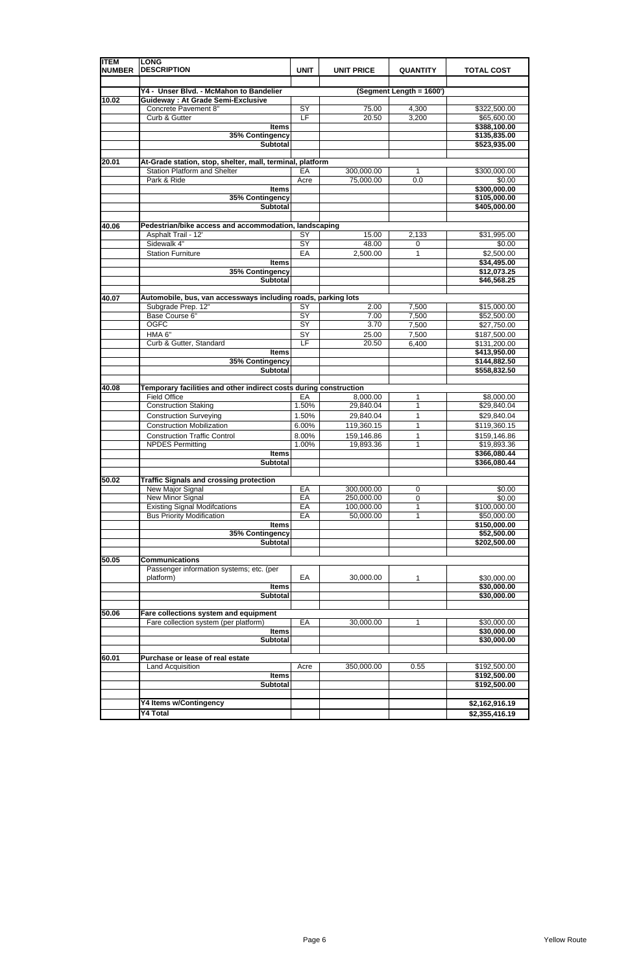| <b>ITEM</b><br><b>NUMBER</b> | <b>LONG</b><br><b>DESCRIPTION</b>                                                   | <b>UNIT</b>              | <b>UNIT PRICE</b>        | <b>QUANTITY</b>          | <b>TOTAL COST</b>            |
|------------------------------|-------------------------------------------------------------------------------------|--------------------------|--------------------------|--------------------------|------------------------------|
|                              |                                                                                     |                          |                          |                          |                              |
| 10.02                        | Y4 - Unser Blvd. - McMahon to Bandelier<br><b>Guideway: At Grade Semi-Exclusive</b> |                          |                          | (Segment Length = 1600') |                              |
|                              | Concrete Pavement 8"                                                                | SY                       | 75.00                    | 4,300                    | \$322,500.00                 |
|                              | Curb & Gutter                                                                       | $\overline{\mathsf{LF}}$ | 20.50                    | 3,200                    | \$65,600.00                  |
|                              | <b>Items</b>                                                                        |                          |                          |                          | \$388,100.00                 |
|                              | 35% Contingency                                                                     |                          |                          |                          | \$135,835.00                 |
|                              | <b>Subtotal</b>                                                                     |                          |                          |                          | \$523,935.00                 |
|                              |                                                                                     |                          |                          |                          |                              |
| 20.01                        | At-Grade station, stop, shelter, mall, terminal, platform                           |                          |                          |                          |                              |
|                              | <b>Station Platform and Shelter</b>                                                 | EA                       | 300,000.00               | 1                        | \$300,000.00                 |
|                              | Park & Ride                                                                         | Acre                     | 75,000.00                | 0.0                      | \$0.00                       |
|                              | <b>Items</b><br>35% Contingency                                                     |                          |                          |                          | \$300,000.00<br>\$105,000.00 |
|                              | <b>Subtotal</b>                                                                     |                          |                          |                          | \$405,000.00                 |
|                              |                                                                                     |                          |                          |                          |                              |
| 40.06                        | Pedestrian/bike access and accommodation, landscaping                               |                          |                          |                          |                              |
|                              | Asphalt Trail - 12'                                                                 | SY                       | 15.00                    | 2,133                    | \$31,995.00                  |
|                              | Sidewalk 4"                                                                         | $\overline{SY}$          | 48.00                    | 0                        | \$0.00                       |
|                              | <b>Station Furniture</b>                                                            | EA                       | 2,500.00                 | 1                        | \$2,500.00                   |
|                              | <b>Items</b>                                                                        |                          |                          |                          | \$34,495.00                  |
|                              | 35% Contingency                                                                     |                          |                          |                          | \$12,073.25                  |
|                              | <b>Subtotal</b>                                                                     |                          |                          |                          | \$46,568.25                  |
|                              |                                                                                     |                          |                          |                          |                              |
| 40.07                        | Automobile, bus, van accessways including roads, parking lots                       |                          |                          |                          |                              |
|                              | Subgrade Prep. 12"                                                                  | $\overline{SY}$          | 2.00                     | 7,500                    | \$15,000.00                  |
|                              | Base Course 6"                                                                      | $\overline{SY}$          | 7.00                     | 7,500                    | \$52,500.00                  |
|                              | <b>OGFC</b>                                                                         | SY                       | 3.70                     | 7,500                    | \$27,750.00                  |
|                              | HMA 6"                                                                              | SY                       | 25.00                    | 7,500                    | \$187,500.00                 |
|                              | Curb & Gutter, Standard<br><b>Items</b>                                             | LF                       | 20.50                    | 6,400                    | \$131,200.00                 |
|                              | 35% Contingency                                                                     |                          |                          |                          | \$413,950.00<br>\$144,882.50 |
|                              | <b>Subtotal</b>                                                                     |                          |                          |                          | \$558,832.50                 |
|                              |                                                                                     |                          |                          |                          |                              |
| 40.08                        | Temporary facilities and other indirect costs during construction                   |                          |                          |                          |                              |
|                              | <b>Field Office</b>                                                                 | EA                       | 8,000.00                 | 1                        | \$8,000.00                   |
|                              | <b>Construction Staking</b>                                                         | 1.50%                    | 29,840.04                | 1                        | \$29,840.04                  |
|                              | <b>Construction Surveying</b>                                                       | 1.50%                    | 29,840.04                | 1                        | \$29,840.04                  |
|                              | <b>Construction Mobilization</b>                                                    | 6.00%                    | 119,360.15               | 1                        | \$119,360.15                 |
|                              | <b>Construction Traffic Control</b>                                                 | 8.00%                    | 159,146.86               | 1                        | \$159,146.86                 |
|                              | <b>NPDES Permitting</b>                                                             | 1.00%                    | 19,893.36                | 1                        | \$19,893.36                  |
|                              | <b>Items</b>                                                                        |                          |                          |                          | \$366,080.44                 |
|                              | Subtotal                                                                            |                          |                          |                          | \$366,080.44                 |
|                              |                                                                                     |                          |                          |                          |                              |
| 50.02                        | <b>Traffic Signals and crossing protection</b>                                      |                          |                          |                          |                              |
|                              | New Major Signal<br><b>New Minor Signal</b>                                         | EA<br>EA                 | 300,000.00<br>250,000.00 | 0<br>$\mathbf 0$         | \$0.00<br>\$0.00             |
|                              | <b>Existing Signal Modifcations</b>                                                 | EA                       | 100,000.00               | 1                        | \$100,000.00                 |
|                              | <b>Bus Priority Modification</b>                                                    | EA                       | 50,000.00                | 1                        | \$50,000.00                  |
|                              | <b>Items</b>                                                                        |                          |                          |                          | \$150,000.00                 |
|                              | 35% Contingency                                                                     |                          |                          |                          | \$52,500.00                  |
|                              | <b>Subtotal</b>                                                                     |                          |                          |                          | \$202,500.00                 |
|                              |                                                                                     |                          |                          |                          |                              |
| 50.05                        | <b>Communications</b>                                                               |                          |                          |                          |                              |
|                              | Passenger information systems; etc. (per                                            |                          |                          |                          |                              |
|                              | platform)                                                                           | EA                       | 30,000.00                | 1                        | \$30,000.00                  |
|                              | <b>Items</b>                                                                        |                          |                          |                          | \$30,000.00                  |
|                              | Subtotal                                                                            |                          |                          |                          | \$30,000.00                  |
|                              |                                                                                     |                          |                          |                          |                              |
| 50.06                        | Fare collections system and equipment<br>Fare collection system (per platform)      | EA                       | 30,000.00                | 1                        | \$30,000.00                  |
|                              | <b>Items</b>                                                                        |                          |                          |                          | \$30,000.00                  |
|                              | <b>Subtotal</b>                                                                     |                          |                          |                          | \$30,000.00                  |
|                              |                                                                                     |                          |                          |                          |                              |
| 60.01                        | Purchase or lease of real estate                                                    |                          |                          |                          |                              |
|                              | Land Acquisition                                                                    | Acre                     | 350,000.00               | 0.55                     | \$192,500.00                 |
|                              | <b>Items</b>                                                                        |                          |                          |                          | \$192,500.00                 |
|                              | <b>Subtotal</b>                                                                     |                          |                          |                          | \$192,500.00                 |
|                              |                                                                                     |                          |                          |                          |                              |
|                              | <b>Y4 Items w/Contingency</b>                                                       |                          |                          |                          | \$2,162,916.19               |
|                              | Y4 Total                                                                            |                          |                          |                          | \$2,355,416.19               |

|  |  | -------------- |
|--|--|----------------|
|  |  |                |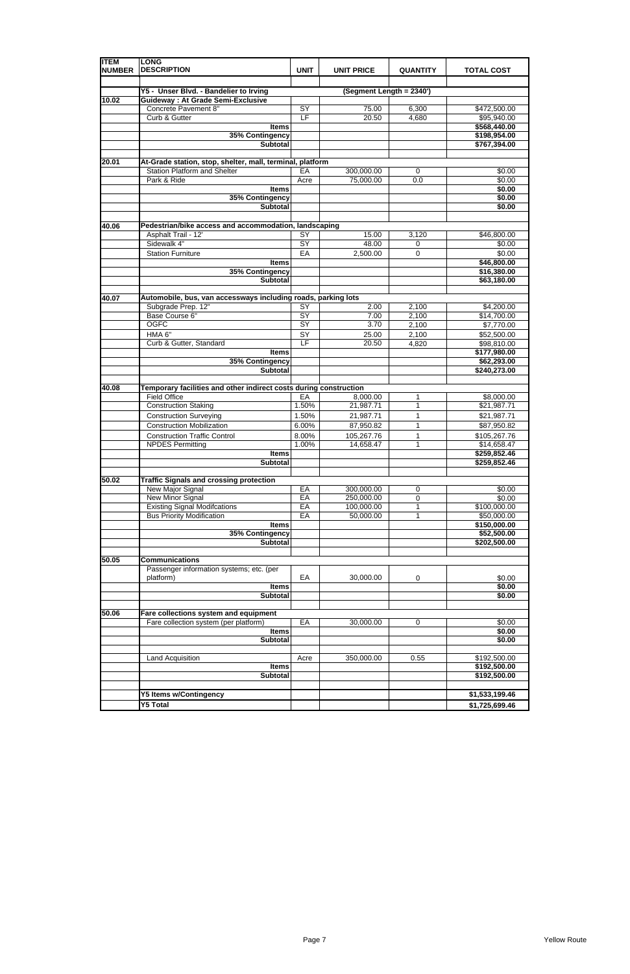| <b>ITEM</b><br><b>NUMBER</b> | <b>LONG</b><br><b>DESCRIPTION</b>                                                                | <b>UNIT</b>           | <b>UNIT PRICE</b>        | <b>QUANTITY</b> | <b>TOTAL COST</b>           |
|------------------------------|--------------------------------------------------------------------------------------------------|-----------------------|--------------------------|-----------------|-----------------------------|
|                              |                                                                                                  |                       |                          |                 |                             |
|                              | Y5 - Unser Blvd. - Bandelier to Irving                                                           |                       | (Segment Length = 2340') |                 |                             |
| 10.02                        | <b>Guideway: At Grade Semi-Exclusive</b><br>Concrete Pavement 8"                                 | SY                    | 75.00                    | 6,300           | \$472,500.00                |
|                              | Curb & Gutter                                                                                    | LF                    | 20.50                    | 4,680           | \$95,940.00                 |
|                              | <b>Items</b>                                                                                     |                       |                          |                 | \$568,440.00                |
|                              | 35% Contingency                                                                                  |                       |                          |                 | \$198,954.00                |
|                              | <b>Subtotal</b>                                                                                  |                       |                          |                 | \$767,394.00                |
|                              |                                                                                                  |                       |                          |                 |                             |
| 20.01                        | At-Grade station, stop, shelter, mall, terminal, platform<br><b>Station Platform and Shelter</b> | EA                    | 300,000.00               | 0               | \$0.00                      |
|                              | Park & Ride                                                                                      | Acre                  | 75,000.00                | 0.0             | $\frac{1}{6}0.00$           |
|                              | <b>Items</b>                                                                                     |                       |                          |                 | \$0.00                      |
|                              | 35% Contingency                                                                                  |                       |                          |                 | \$0.00                      |
|                              | <b>Subtotal</b>                                                                                  |                       |                          |                 | \$0.00                      |
|                              |                                                                                                  |                       |                          |                 |                             |
| 40.06                        | Pedestrian/bike access and accommodation, landscaping                                            |                       |                          |                 |                             |
|                              | Asphalt Trail - 12'<br>Sidewalk 4"                                                               | SY<br>$\overline{SY}$ | 15.00<br>48.00           | 3,120           | \$46,800.00<br>\$0.00       |
|                              | <b>Station Furniture</b>                                                                         | EA                    | 2,500.00                 | 0<br>0          | \$0.00                      |
|                              | <b>Items</b>                                                                                     |                       |                          |                 | \$46,800.00                 |
|                              | 35% Contingency                                                                                  |                       |                          |                 | \$16,380.00                 |
|                              | <b>Subtotal</b>                                                                                  |                       |                          |                 | \$63,180.00                 |
|                              |                                                                                                  |                       |                          |                 |                             |
| 40.07                        | Automobile, bus, van accessways including roads, parking lots                                    |                       |                          |                 |                             |
|                              | Subgrade Prep. 12"<br>Base Course 6"                                                             | $\overline{SY}$<br>SY | 2.00                     | 2,100           | \$4,200.00                  |
|                              | <b>OGFC</b>                                                                                      | SY                    | 7.00<br>3.70             | 2,100<br>2,100  | \$14,700.00<br>\$7,770.00   |
|                              | HMA 6"                                                                                           | SY                    | 25.00                    | 2,100           | \$52,500.00                 |
|                              | Curb & Gutter, Standard                                                                          | E                     | 20.50                    | 4,820           | \$98,810.00                 |
|                              | <b>Items</b>                                                                                     |                       |                          |                 | \$177,980.00                |
|                              | 35% Contingency                                                                                  |                       |                          |                 | \$62,293.00                 |
|                              | <b>Subtotal</b>                                                                                  |                       |                          |                 | \$240,273.00                |
| 40.08                        | Temporary facilities and other indirect costs during construction                                |                       |                          |                 |                             |
|                              | <b>Field Office</b>                                                                              | EA                    | 8,000.00                 | 1               | \$8,000.00                  |
|                              | <b>Construction Staking</b>                                                                      | 1.50%                 | 21,987.71                | $\mathbf{1}$    | \$21,987.71                 |
|                              | <b>Construction Surveying</b>                                                                    | 1.50%                 | 21,987.71                | 1               | \$21,987.71                 |
|                              | <b>Construction Mobilization</b>                                                                 | 6.00%                 | 87,950.82                | 1               | \$87,950.82                 |
|                              | <b>Construction Traffic Control</b>                                                              | 8.00%                 | 105,267.76               | 1               | \$105,267.76                |
|                              | <b>NPDES Permitting</b>                                                                          | 1.00%                 | 14,658.47                | 1               | \$14,658.47                 |
|                              | <b>Items</b>                                                                                     |                       |                          |                 | \$259,852.46                |
|                              | <b>Subtotal</b>                                                                                  |                       |                          |                 | \$259,852.46                |
| 50.02                        | <b>Traffic Signals and crossing protection</b>                                                   |                       |                          |                 |                             |
|                              | New Major Signal                                                                                 | EA                    | 300,000.00               | 0               | \$0.00                      |
|                              | New Minor Signal                                                                                 | EA                    | 250,000.00               | 0               | \$0.00                      |
|                              | <b>Existing Signal Modifcations</b>                                                              | EA                    | 100,000.00               | 1               | \$100,000.00                |
|                              | <b>Bus Priority Modification</b>                                                                 | EA                    | 50,000.00                | 1               | \$50,000.00                 |
|                              | <b>Items</b>                                                                                     |                       |                          |                 | \$150,000.00                |
|                              | 35% Contingency<br><b>Subtotal</b>                                                               |                       |                          |                 | \$52,500.00<br>\$202,500.00 |
|                              |                                                                                                  |                       |                          |                 |                             |
| 50.05                        | <b>Communications</b>                                                                            |                       |                          |                 |                             |
|                              | Passenger information systems; etc. (per                                                         |                       |                          |                 |                             |
|                              | platform)                                                                                        | EA                    | 30,000.00                | 0               | \$0.00                      |
|                              | <b>Items</b><br><b>Subtotal</b>                                                                  |                       |                          |                 | \$0.00<br>\$0.00            |
|                              |                                                                                                  |                       |                          |                 |                             |
| 50.06                        | Fare collections system and equipment                                                            |                       |                          |                 |                             |
|                              | Fare collection system (per platform)                                                            | EA                    | 30,000.00                | 0               | \$0.00                      |
|                              | <b>Items</b>                                                                                     |                       |                          |                 | \$0.00                      |
|                              | <b>Subtotal</b>                                                                                  |                       |                          |                 | \$0.00                      |
|                              | Land Acquisition                                                                                 | Acre                  |                          | 0.55            | \$192,500.00                |
|                              | <b>Items</b>                                                                                     |                       | 350,000.00               |                 | \$192,500.00                |
|                              | <b>Subtotal</b>                                                                                  |                       |                          |                 | \$192,500.00                |
|                              |                                                                                                  |                       |                          |                 |                             |
|                              | <b>Y5 Items w/Contingency</b>                                                                    |                       |                          |                 | \$1,533,199.46              |
|                              | <b>Y5 Total</b>                                                                                  |                       |                          |                 | \$1,725,699.46              |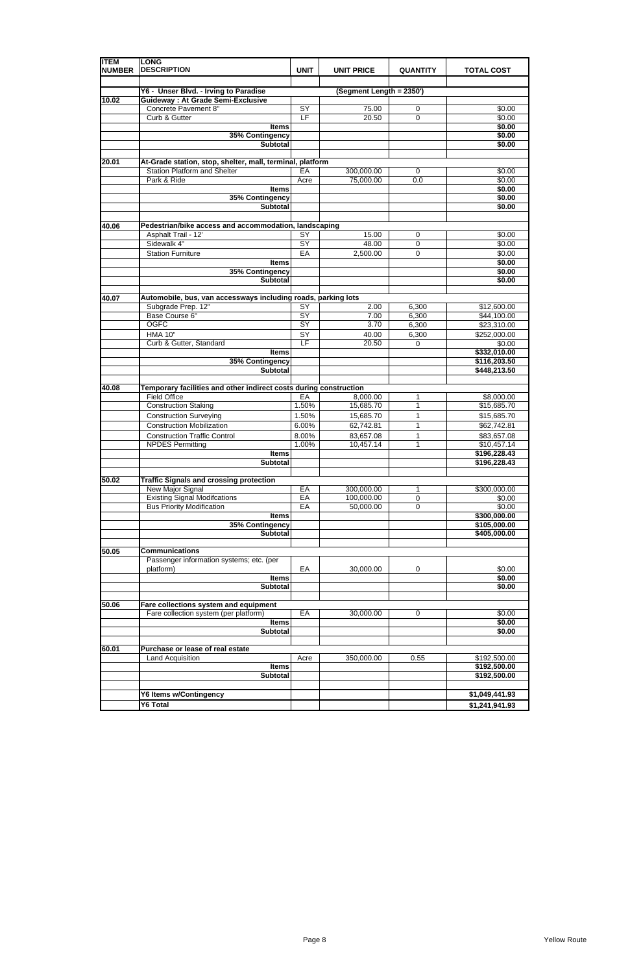| <b>ITEM</b><br><b>NUMBER</b> | <b>LONG</b><br><b>DESCRIPTION</b>                                                   | <b>UNIT</b>     | <b>UNIT PRICE</b>        | <b>QUANTITY</b>   | <b>TOTAL COST</b>            |
|------------------------------|-------------------------------------------------------------------------------------|-----------------|--------------------------|-------------------|------------------------------|
|                              |                                                                                     |                 |                          |                   |                              |
| 10.02                        | Y6 - Unser Blvd. - Irving to Paradise<br><b>Guideway: At Grade Semi-Exclusive</b>   |                 | (Segment Length = 2350') |                   |                              |
|                              | <b>Concrete Pavement 8"</b>                                                         | SY              | 75.00                    | $\mathbf 0$       | \$0.00                       |
|                              | Curb & Gutter                                                                       | LF              | 20.50                    | 0                 | \$0.00                       |
|                              | <b>Items</b>                                                                        |                 |                          |                   | \$0.00                       |
|                              | 35% Contingency<br>Subtotal                                                         |                 |                          |                   | \$0.00<br>\$0.00             |
|                              |                                                                                     |                 |                          |                   |                              |
| 20.01                        | At-Grade station, stop, shelter, mall, terminal, platform                           |                 |                          |                   |                              |
|                              | <b>Station Platform and Shelter</b><br>Park & Ride                                  | EA<br>Acre      | 300,000.00<br>75,000.00  | 0<br>0.0          | \$0.00<br>\$0.00             |
|                              | <b>Items</b>                                                                        |                 |                          |                   | \$0.00                       |
|                              | 35% Contingency<br><b>Subtotal</b>                                                  |                 |                          |                   | \$0.00<br>\$0.00             |
| 40.06                        | Pedestrian/bike access and accommodation, landscaping                               |                 |                          |                   |                              |
|                              | Asphalt Trail - 12'                                                                 | SY              | 15.00                    | 0                 | \$0.00                       |
|                              | Sidewalk 4"                                                                         | $\overline{SY}$ | 48.00                    | $\mathbf 0$       | \$0.00                       |
|                              | <b>Station Furniture</b><br><b>Items</b>                                            | EA              | 2,500.00                 | $\mathbf 0$       | \$0.00<br>\$0.00             |
|                              | 35% Contingency                                                                     |                 |                          |                   | \$0.00                       |
|                              | <b>Subtotal</b>                                                                     |                 |                          |                   | \$0.00                       |
|                              |                                                                                     |                 |                          |                   |                              |
| 40.07                        | Automobile, bus, van accessways including roads, parking lots<br>Subgrade Prep. 12" | $\overline{SY}$ | 2.00                     | 6,300             | \$12,600.00                  |
|                              | Base Course 6"                                                                      | SY              | 7.00                     | 6,300             | \$44,100.00                  |
|                              | <b>OGFC</b>                                                                         | SY              | 3.70                     | 6,300             | \$23,310.00                  |
|                              | <b>HMA 10"</b>                                                                      | SY              | 40.00                    | 6,300             | \$252,000.00                 |
|                              | Curb & Gutter, Standard<br><b>Items</b>                                             | LF              | 20.50                    | 0                 | \$0.00<br>\$332,010.00       |
|                              | 35% Contingency                                                                     |                 |                          |                   | \$116,203.50                 |
|                              | <b>Subtotal</b>                                                                     |                 |                          |                   | \$448,213.50                 |
| 40.08                        | Temporary facilities and other indirect costs during construction                   |                 |                          |                   |                              |
|                              | <b>Field Office</b>                                                                 | EA              | 8,000.00                 | 1                 | \$8,000.00                   |
|                              | <b>Construction Staking</b>                                                         | 1.50%           | 15,685.70                | $\mathbf{1}$      | \$15,685.70                  |
|                              | <b>Construction Surveying</b>                                                       | 1.50%           | 15,685.70                | 1                 | \$15,685.70                  |
|                              | <b>Construction Mobilization</b>                                                    | 6.00%           | 62,742.81                | 1                 | \$62,742.81                  |
|                              | <b>Construction Traffic Control</b><br><b>NPDES Permitting</b>                      | 8.00%<br>1.00%  | 83,657.08<br>10,457.14   | 1<br>$\mathbf{1}$ | \$83,657.08<br>\$10,457.14   |
|                              | <b>Items</b>                                                                        |                 |                          |                   | \$196,228.43                 |
|                              | <b>Subtotal</b>                                                                     |                 |                          |                   | \$196,228.43                 |
| 50.02                        | <b>Traffic Signals and crossing protection</b>                                      |                 |                          |                   |                              |
|                              | New Major Signal                                                                    | EA              | 300,000.00               | 1                 | \$300,000.00                 |
|                              | <b>Existing Signal Modifcations</b>                                                 | EA              | 100,000.00               | 0                 | \$0.00                       |
|                              | <b>Bus Priority Modification</b>                                                    | EA              | 50,000.00                | $\pmb{0}$         | \$0.00                       |
|                              | <b>Items</b><br>35% Contingency                                                     |                 |                          |                   | \$300,000.00<br>\$105,000.00 |
|                              | <b>Subtotal</b>                                                                     |                 |                          |                   | \$405,000.00                 |
| 50.05                        | <b>Communications</b>                                                               |                 |                          |                   |                              |
|                              | Passenger information systems; etc. (per                                            |                 |                          |                   |                              |
|                              | platform)                                                                           | EA              | 30,000.00                | 0                 | \$0.00                       |
|                              | <b>Items</b>                                                                        |                 |                          |                   | \$0.00                       |
|                              | <b>Subtotal</b>                                                                     |                 |                          |                   | \$0.00                       |
| 50.06                        | Fare collections system and equipment                                               |                 |                          |                   |                              |
|                              | Fare collection system (per platform)                                               | EA              | 30,000.00                | 0                 | \$0.00                       |
|                              | <b>Items</b>                                                                        |                 |                          |                   | \$0.00                       |
|                              | <b>Subtotal</b>                                                                     |                 |                          |                   | \$0.00                       |
| 60.01                        | Purchase or lease of real estate                                                    |                 |                          |                   |                              |
|                              | Land Acquisition                                                                    | Acre            | 350,000.00               | 0.55              | \$192,500.00                 |
|                              | <b>Items</b><br><b>Subtotal</b>                                                     |                 |                          |                   | \$192,500.00<br>\$192,500.00 |
|                              |                                                                                     |                 |                          |                   |                              |
|                              | <b>Y6 Items w/Contingency</b>                                                       |                 |                          |                   | \$1,049,441.93               |
|                              | <b>Y6 Total</b>                                                                     |                 |                          |                   | \$1,241,941.93               |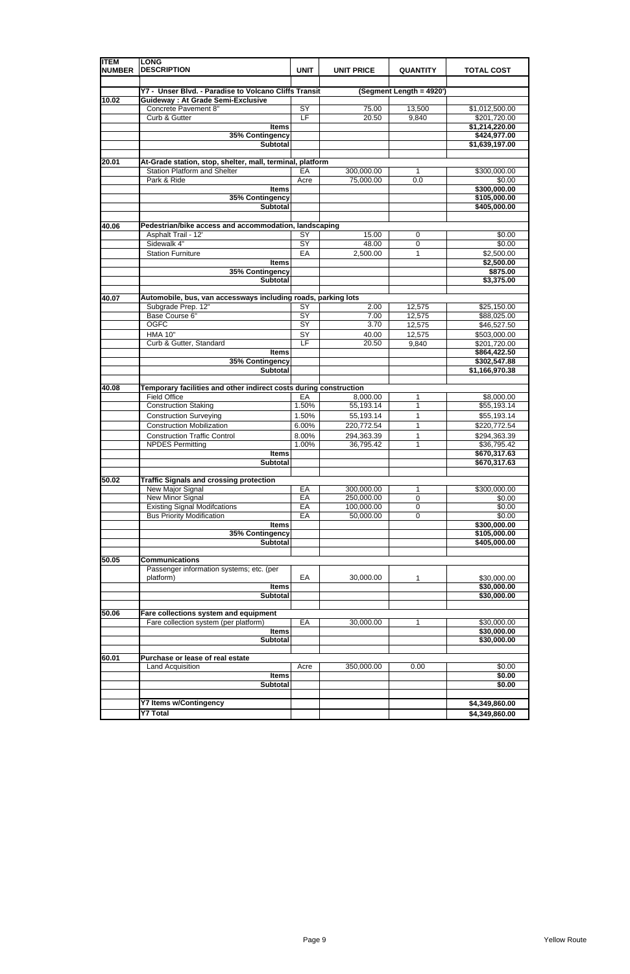| <b>ITEM</b><br><b>NUMBER</b> | <b>LONG</b><br><b>DESCRIPTION</b>                                  | <b>UNIT</b>     | <b>UNIT PRICE</b> | <b>QUANTITY</b>          | <b>TOTAL COST</b>              |
|------------------------------|--------------------------------------------------------------------|-----------------|-------------------|--------------------------|--------------------------------|
|                              |                                                                    |                 |                   |                          |                                |
|                              | Y7 - Unser Blvd. - Paradise to Volcano Cliffs Transit              |                 |                   | (Segment Length = 4920') |                                |
| 10.02                        | <b>Guideway: At Grade Semi-Exclusive</b><br>Concrete Pavement 8"   | SY              | 75.00             |                          |                                |
|                              | Curb & Gutter                                                      | E               | 20.50             | 13,500<br>9,840          | \$1,012,500.00<br>\$201,720.00 |
|                              | <b>Items</b>                                                       |                 |                   |                          | \$1,214,220.00                 |
|                              | 35% Contingency                                                    |                 |                   |                          | \$424,977.00                   |
|                              | <b>Subtotal</b>                                                    |                 |                   |                          | \$1,639,197.00                 |
|                              |                                                                    |                 |                   |                          |                                |
| 20.01                        | At-Grade station, stop, shelter, mall, terminal, platform          |                 |                   |                          |                                |
|                              | <b>Station Platform and Shelter</b>                                | EA              | 300,000.00        | 1                        | \$300,000.00                   |
|                              | Park & Ride                                                        | Acre            | 75,000.00         | 0.0                      | \$0.00                         |
|                              | <b>Items</b><br>35% Contingency                                    |                 |                   |                          | \$300,000.00<br>\$105,000.00   |
|                              | <b>Subtotal</b>                                                    |                 |                   |                          | \$405,000.00                   |
|                              |                                                                    |                 |                   |                          |                                |
| 40.06                        | Pedestrian/bike access and accommodation, landscaping              |                 |                   |                          |                                |
|                              | Asphalt Trail - 12'                                                | SY              | 15.00             | 0                        | \$0.00                         |
|                              | Sidewalk 4"                                                        | $\overline{SY}$ | 48.00             | $\mathbf 0$              | \$0.00                         |
|                              | <b>Station Furniture</b>                                           | EA              | 2,500.00          | 1                        | \$2,500.00                     |
|                              | <b>Items</b>                                                       |                 |                   |                          | \$2,500.00                     |
|                              | 35% Contingency                                                    |                 |                   |                          | \$875.00                       |
|                              | <b>Subtotal</b>                                                    |                 |                   |                          | \$3,375.00                     |
| 40.07                        | Automobile, bus, van accessways including roads, parking lots      |                 |                   |                          |                                |
|                              | Subgrade Prep. 12"                                                 | $\overline{SY}$ | 2.00              | 12,575                   | \$25,150.00                    |
|                              | Base Course 6"                                                     | $\overline{SY}$ | 7.00              | 12,575                   | \$88,025.00                    |
|                              | <b>OGFC</b>                                                        | SY              | 3.70              | 12,575                   | \$46,527.50                    |
|                              | <b>HMA 10"</b>                                                     | SY              | 40.00             | 12,575                   | \$503,000.00                   |
|                              | Curb & Gutter, Standard                                            | LF              | 20.50             | 9,840                    | \$201,720.00                   |
|                              | <b>Items</b>                                                       |                 |                   |                          | \$864,422.50                   |
|                              | 35% Contingency                                                    |                 |                   |                          | \$302,547.88                   |
|                              | <b>Subtotal</b>                                                    |                 |                   |                          | \$1,166,970.38                 |
| 40.08                        | Temporary facilities and other indirect costs during construction  |                 |                   |                          |                                |
|                              | <b>Field Office</b>                                                | EA              | 8,000.00          | 1                        | \$8,000.00                     |
|                              | <b>Construction Staking</b>                                        | 1.50%           | 55,193.14         | 1                        | \$55,193.14                    |
|                              | <b>Construction Surveying</b>                                      | 1.50%           | 55,193.14         | 1                        | \$55,193.14                    |
|                              | <b>Construction Mobilization</b>                                   | 6.00%           | 220,772.54        | 1                        | \$220,772.54                   |
|                              | <b>Construction Traffic Control</b>                                | 8.00%           | 294,363.39        | 1                        | \$294,363.39                   |
|                              | <b>NPDES Permitting</b>                                            | 1.00%           | 36,795.42         | 1                        | \$36,795.42                    |
|                              | <b>Items</b>                                                       |                 |                   |                          | \$670,317.63                   |
|                              | Subtotal                                                           |                 |                   |                          | \$670,317.63                   |
|                              |                                                                    |                 |                   |                          |                                |
| 50.02                        | <b>Traffic Signals and crossing protection</b><br>New Major Signal | EA              | 300,000.00        | 1                        | \$300,000.00                   |
|                              | <b>New Minor Signal</b>                                            | EA              | 250,000.00        | $\mathbf 0$              | \$0.00                         |
|                              | <b>Existing Signal Modifcations</b>                                | EA              | 100,000.00        | 0                        | \$0.00                         |
|                              | <b>Bus Priority Modification</b>                                   | EA              | 50,000.00         | $\mathbf 0$              | \$0.00                         |
|                              | <b>Items</b>                                                       |                 |                   |                          | \$300,000.00                   |
|                              | 35% Contingency                                                    |                 |                   |                          | \$105,000.00                   |
|                              | <b>Subtotal</b>                                                    |                 |                   |                          | \$405,000.00                   |
|                              |                                                                    |                 |                   |                          |                                |
| 50.05                        | <b>Communications</b>                                              |                 |                   |                          |                                |
|                              | Passenger information systems; etc. (per<br>platform)              | EA              | 30,000.00         | 1                        | \$30,000.00                    |
|                              | <b>Items</b>                                                       |                 |                   |                          | \$30,000.00                    |
|                              | Subtotal                                                           |                 |                   |                          | \$30,000.00                    |
|                              |                                                                    |                 |                   |                          |                                |
| 50.06                        | Fare collections system and equipment                              |                 |                   |                          |                                |
|                              | Fare collection system (per platform)                              | EA              | 30,000.00         | 1                        | \$30,000.00                    |
|                              | <b>Items</b>                                                       |                 |                   |                          | \$30,000.00                    |
|                              | <b>Subtotal</b>                                                    |                 |                   |                          | \$30,000.00                    |
| 60.01                        | Purchase or lease of real estate                                   |                 |                   |                          |                                |
|                              | Land Acquisition                                                   | Acre            | 350,000.00        | 0.00                     | \$0.00                         |
|                              | <b>Items</b>                                                       |                 |                   |                          | \$0.00                         |
|                              | <b>Subtotal</b>                                                    |                 |                   |                          | \$0.00                         |
|                              |                                                                    |                 |                   |                          |                                |
|                              | <b>Y7 Items w/Contingency</b>                                      |                 |                   |                          | \$4,349,860.00                 |
|                              | <b>Y7 Total</b>                                                    |                 |                   |                          | \$4,349,860.00                 |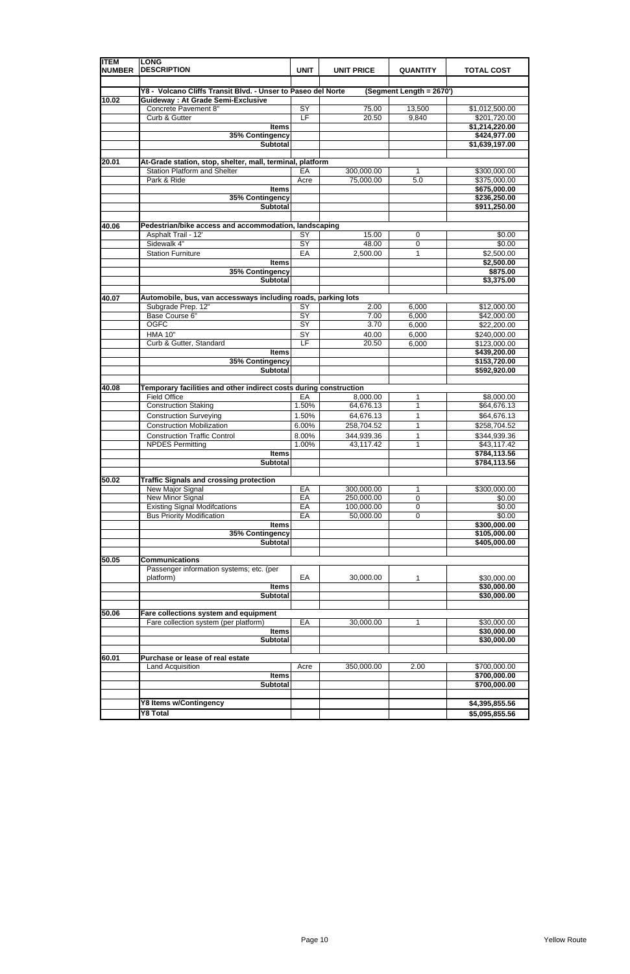| <b>ITEM</b><br><b>NUMBER</b> | <b>LONG</b><br><b>DESCRIPTION</b>                                 | <b>UNIT</b>     | <b>UNIT PRICE</b> | <b>QUANTITY</b>          | <b>TOTAL COST</b>              |
|------------------------------|-------------------------------------------------------------------|-----------------|-------------------|--------------------------|--------------------------------|
|                              |                                                                   |                 |                   |                          |                                |
|                              | Y8 - Volcano Cliffs Transit Blvd. - Unser to Paseo del Norte      |                 |                   | (Segment Length = 2670') |                                |
| 10.02                        | <b>Guideway: At Grade Semi-Exclusive</b><br>Concrete Pavement 8"  | SY              | 75.00             | 13,500                   |                                |
|                              | Curb & Gutter                                                     | E               | 20.50             | 9,840                    | \$1,012,500.00<br>\$201,720.00 |
|                              | <b>Items</b>                                                      |                 |                   |                          | \$1,214,220.00                 |
|                              | 35% Contingency                                                   |                 |                   |                          | \$424,977.00                   |
|                              | <b>Subtotal</b>                                                   |                 |                   |                          | \$1,639,197.00                 |
|                              |                                                                   |                 |                   |                          |                                |
| 20.01                        | At-Grade station, stop, shelter, mall, terminal, platform         |                 |                   |                          |                                |
|                              | <b>Station Platform and Shelter</b>                               | EA              | 300,000.00        | 1                        | \$300,000.00                   |
|                              | Park & Ride                                                       | Acre            | 75,000.00         | 5.0                      | \$375,000.00                   |
|                              | <b>Items</b>                                                      |                 |                   |                          | \$675,000.00                   |
|                              | 35% Contingency                                                   |                 |                   |                          | \$236,250.00                   |
|                              | <b>Subtotal</b>                                                   |                 |                   |                          | \$911,250.00                   |
| 40.06                        | Pedestrian/bike access and accommodation, landscaping             |                 |                   |                          |                                |
|                              | Asphalt Trail - 12'                                               | SY              | 15.00             | 0                        | \$0.00                         |
|                              | Sidewalk 4"                                                       | $\overline{SY}$ | 48.00             | $\mathbf 0$              | \$0.00                         |
|                              | <b>Station Furniture</b>                                          | EA              | 2,500.00          | 1                        | \$2,500.00                     |
|                              | <b>Items</b>                                                      |                 |                   |                          | \$2,500.00                     |
|                              | 35% Contingency                                                   |                 |                   |                          | \$875.00                       |
|                              | <b>Subtotal</b>                                                   |                 |                   |                          | \$3,375.00                     |
|                              |                                                                   |                 |                   |                          |                                |
| 40.07                        | Automobile, bus, van accessways including roads, parking lots     |                 |                   |                          |                                |
|                              | Subgrade Prep. 12"                                                | $\overline{SY}$ | 2.00              | 6,000                    | \$12,000.00                    |
|                              | Base Course 6"                                                    | $\overline{SY}$ | 7.00              | 6,000                    | \$42,000.00                    |
|                              | <b>OGFC</b>                                                       | SY              | 3.70              | 6,000                    | \$22,200.00                    |
|                              | <b>HMA 10"</b>                                                    | SY              | 40.00             | 6,000                    | \$240,000.00                   |
|                              | Curb & Gutter, Standard                                           | LF              | 20.50             | 6,000                    | \$123,000.00                   |
|                              | <b>Items</b>                                                      |                 |                   |                          | \$439,200.00                   |
|                              | 35% Contingency                                                   |                 |                   |                          | \$153,720.00                   |
|                              | <b>Subtotal</b>                                                   |                 |                   |                          | \$592,920.00                   |
| 40.08                        | Temporary facilities and other indirect costs during construction |                 |                   |                          |                                |
|                              | <b>Field Office</b>                                               | EA              | 8,000.00          | 1                        | \$8,000.00                     |
|                              | <b>Construction Staking</b>                                       | 1.50%           | 64,676.13         | 1                        | \$64,676.13                    |
|                              | <b>Construction Surveying</b>                                     | 1.50%           | 64,676.13         | 1                        | \$64,676.13                    |
|                              | <b>Construction Mobilization</b>                                  | 6.00%           | 258,704.52        | 1                        | \$258,704.52                   |
|                              | <b>Construction Traffic Control</b>                               | 8.00%           | 344,939.36        | 1                        | \$344,939.36                   |
|                              | <b>NPDES Permitting</b>                                           | 1.00%           | 43,117.42         | 1                        | \$43,117.42                    |
|                              | <b>Items</b>                                                      |                 |                   |                          | \$784,113.56                   |
|                              | Subtotal                                                          |                 |                   |                          | \$784,113.56                   |
|                              |                                                                   |                 |                   |                          |                                |
| 50.02                        | <b>Traffic Signals and crossing protection</b>                    |                 |                   |                          |                                |
|                              | New Major Signal                                                  | EA              | 300,000.00        | 1                        | \$300,000.00                   |
|                              | <b>New Minor Signal</b>                                           | EA              | 250,000.00        | $\mathbf 0$              | \$0.00                         |
|                              | <b>Existing Signal Modifcations</b>                               | EA              | 100,000.00        | 0                        | \$0.00                         |
|                              | <b>Bus Priority Modification</b>                                  | EA              | 50,000.00         | $\mathbf 0$              | \$0.00                         |
|                              | <b>Items</b>                                                      |                 |                   |                          | \$300,000.00                   |
|                              | 35% Contingency                                                   |                 |                   |                          | \$105,000.00                   |
|                              | <b>Subtotal</b>                                                   |                 |                   |                          | \$405,000.00                   |
| 50.05                        | <b>Communications</b>                                             |                 |                   |                          |                                |
|                              | Passenger information systems; etc. (per                          |                 |                   |                          |                                |
|                              | platform)                                                         | EA              | 30,000.00         | 1                        | \$30,000.00                    |
|                              | <b>Items</b>                                                      |                 |                   |                          | \$30,000.00                    |
|                              | Subtotal                                                          |                 |                   |                          | \$30,000.00                    |
|                              |                                                                   |                 |                   |                          |                                |
| 50.06                        | Fare collections system and equipment                             |                 |                   |                          |                                |
|                              | Fare collection system (per platform)                             | EA              | 30,000.00         | 1                        | \$30,000.00                    |
|                              | <b>Items</b>                                                      |                 |                   |                          | \$30,000.00                    |
|                              | <b>Subtotal</b>                                                   |                 |                   |                          | \$30,000.00                    |
|                              |                                                                   |                 |                   |                          |                                |
| 60.01                        | Purchase or lease of real estate                                  |                 |                   |                          |                                |
|                              | Land Acquisition<br><b>Items</b>                                  | Acre            | 350,000.00        | 2.00                     | \$700,000.00<br>\$700,000.00   |
|                              | <b>Subtotal</b>                                                   |                 |                   |                          | \$700,000.00                   |
|                              |                                                                   |                 |                   |                          |                                |
|                              | <b>Y8 Items w/Contingency</b>                                     |                 |                   |                          | \$4,395,855.56                 |
|                              | Y8 Total                                                          |                 |                   |                          | \$5,095,855.56                 |
|                              |                                                                   |                 |                   |                          |                                |

|  |  |  |  |  |  | ________________ |
|--|--|--|--|--|--|------------------|
|--|--|--|--|--|--|------------------|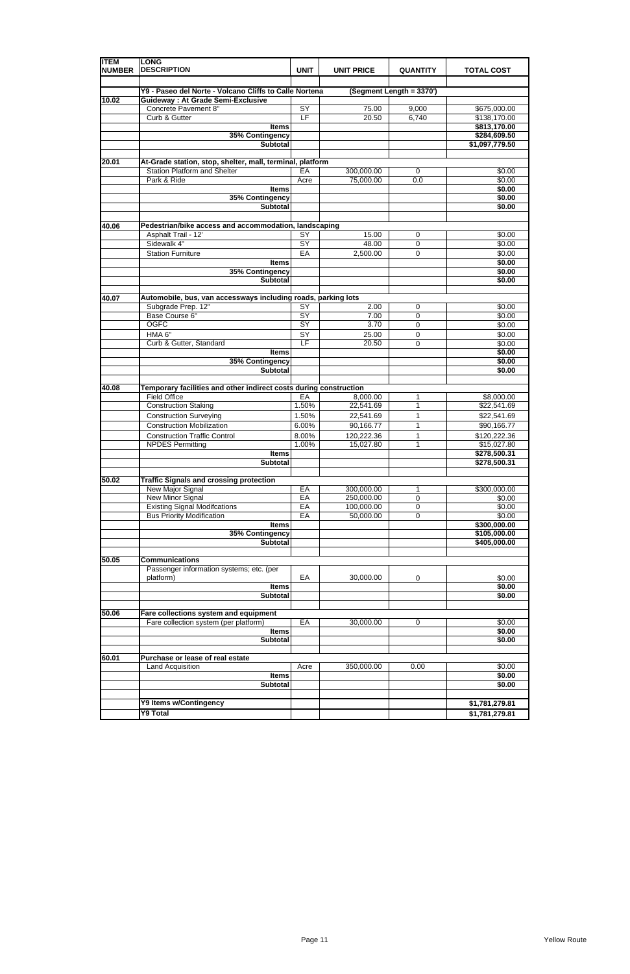| <b>ITEM</b><br><b>NUMBER</b> | <b>LONG</b><br><b>DESCRIPTION</b>                                            | <b>UNIT</b>                        | <b>UNIT PRICE</b> | <b>QUANTITY</b>            | <b>TOTAL COST</b>              |
|------------------------------|------------------------------------------------------------------------------|------------------------------------|-------------------|----------------------------|--------------------------------|
|                              | Y9 - Paseo del Norte - Volcano Cliffs to Calle Nortena                       |                                    |                   | (Segment Length = 3370')   |                                |
| 10.02                        | <b>Guideway: At Grade Semi-Exclusive</b>                                     |                                    |                   |                            |                                |
|                              | Concrete Pavement 8"                                                         | SY                                 | 75.00             | 9,000                      | \$675,000.00                   |
|                              | Curb & Gutter                                                                | E                                  | 20.50             | 6,740                      | \$138,170.00                   |
|                              | <b>Items</b>                                                                 |                                    |                   |                            | \$813,170.00                   |
|                              | 35% Contingency<br><b>Subtotal</b>                                           |                                    |                   |                            | \$284,609.50<br>\$1,097,779.50 |
|                              |                                                                              |                                    |                   |                            |                                |
| 20.01                        | At-Grade station, stop, shelter, mall, terminal, platform                    |                                    |                   |                            |                                |
|                              | <b>Station Platform and Shelter</b>                                          | EA                                 | 300,000.00        | 0                          | \$0.00                         |
|                              | Park & Ride                                                                  | Acre                               | 75,000.00         | 0.0                        | \$0.00                         |
|                              | <b>Items</b>                                                                 |                                    |                   |                            | \$0.00                         |
|                              | 35% Contingency                                                              |                                    |                   |                            | \$0.00                         |
|                              | <b>Subtotal</b>                                                              |                                    |                   |                            | \$0.00                         |
|                              |                                                                              |                                    |                   |                            |                                |
| 40.06                        | Pedestrian/bike access and accommodation, landscaping<br>Asphalt Trail - 12' | SY                                 | 15.00             | 0                          | \$0.00                         |
|                              | Sidewalk 4"                                                                  | SY                                 | 48.00             | $\mathbf 0$                | \$0.00                         |
|                              | <b>Station Furniture</b>                                                     | EA                                 | 2,500.00          | $\mathbf 0$                | \$0.00                         |
|                              | <b>Items</b>                                                                 |                                    |                   |                            | \$0.00                         |
|                              | 35% Contingency                                                              |                                    |                   |                            | \$0.00                         |
|                              | <b>Subtotal</b>                                                              |                                    |                   |                            | \$0.00                         |
|                              |                                                                              |                                    |                   |                            |                                |
| 40.07                        | Automobile, bus, van accessways including roads, parking lots                |                                    |                   |                            |                                |
|                              | Subgrade Prep. 12"<br>Base Course 6"                                         | $\overline{SY}$<br>$\overline{SY}$ | 2.00<br>7.00      | 0                          | \$0.00<br>\$0.00               |
|                              | <b>OGFC</b>                                                                  | SY                                 | 3.70              | $\mathbf 0$<br>$\mathbf 0$ | \$0.00                         |
|                              | HMA 6"                                                                       | SY                                 | 25.00             | $\mathbf 0$                | \$0.00                         |
|                              | Curb & Gutter, Standard                                                      | LF                                 | 20.50             | $\Omega$                   | \$0.00                         |
|                              | <b>Items</b>                                                                 |                                    |                   |                            | \$0.00                         |
|                              | 35% Contingency                                                              |                                    |                   |                            | \$0.00                         |
|                              | <b>Subtotal</b>                                                              |                                    |                   |                            | \$0.00                         |
| 40.08                        | Temporary facilities and other indirect costs during construction            |                                    |                   |                            |                                |
|                              | <b>Field Office</b>                                                          | EA                                 | 8,000.00          | 1                          | \$8,000.00                     |
|                              | <b>Construction Staking</b>                                                  | 1.50%                              | 22,541.69         | 1                          | \$22,541.69                    |
|                              | <b>Construction Surveying</b>                                                | 1.50%                              | 22,541.69         | 1                          | \$22,541.69                    |
|                              | <b>Construction Mobilization</b>                                             | 6.00%                              | 90,166.77         | 1                          | \$90,166.77                    |
|                              | <b>Construction Traffic Control</b>                                          | 8.00%                              | 120,222.36        | 1                          | \$120,222.36                   |
|                              | <b>NPDES Permitting</b><br><b>Items</b>                                      | 1.00%                              | 15,027.80         | 1                          | \$15,027.80<br>\$278,500.31    |
|                              | Subtotal                                                                     |                                    |                   |                            | \$278,500.31                   |
|                              |                                                                              |                                    |                   |                            |                                |
| 50.02                        | <b>Traffic Signals and crossing protection</b>                               |                                    |                   |                            |                                |
|                              | New Major Signal                                                             | EA                                 | 300,000.00        | 1                          | \$300,000.00                   |
|                              | <b>New Minor Signal</b>                                                      | EA                                 | 250,000.00        | $\mathbf 0$                | \$0.00                         |
|                              | <b>Existing Signal Modifcations</b>                                          | EA                                 | 100,000.00        | $\mathbf 0$                | \$0.00                         |
|                              | <b>Bus Priority Modification</b><br><b>Items</b>                             | EA                                 | 50,000.00         | 0                          | \$0.00<br>\$300,000.00         |
|                              | 35% Contingency                                                              |                                    |                   |                            | \$105,000.00                   |
|                              | <b>Subtotal</b>                                                              |                                    |                   |                            | \$405,000.00                   |
|                              |                                                                              |                                    |                   |                            |                                |
| 50.05                        | <b>Communications</b>                                                        |                                    |                   |                            |                                |
|                              | Passenger information systems; etc. (per                                     |                                    |                   |                            |                                |
|                              | platform)                                                                    | EA                                 | 30,000.00         | 0                          | \$0.00                         |
|                              | <b>Items</b>                                                                 |                                    |                   |                            | \$0.00                         |
|                              | <b>Subtotal</b>                                                              |                                    |                   |                            | \$0.00                         |
| 50.06                        | Fare collections system and equipment                                        |                                    |                   |                            |                                |
|                              | Fare collection system (per platform)                                        | EA                                 | 30,000.00         | 0                          | \$0.00                         |
|                              | <b>Items</b>                                                                 |                                    |                   |                            | \$0.00                         |
|                              | <b>Subtotal</b>                                                              |                                    |                   |                            | \$0.00                         |
|                              |                                                                              |                                    |                   |                            |                                |
| 60.01                        | Purchase or lease of real estate                                             |                                    |                   |                            |                                |
|                              | Land Acquisition                                                             | Acre                               | 350,000.00        | 0.00                       | \$0.00                         |
|                              | <b>Items</b><br><b>Subtotal</b>                                              |                                    |                   |                            | \$0.00<br>\$0.00               |
|                              |                                                                              |                                    |                   |                            |                                |
|                              | Y9 Items w/Contingency                                                       |                                    |                   |                            | \$1,781,279.81                 |
|                              | <b>Y9 Total</b>                                                              |                                    |                   |                            | \$1,781,279.81                 |

|  |  | ------------ |
|--|--|--------------|
|  |  |              |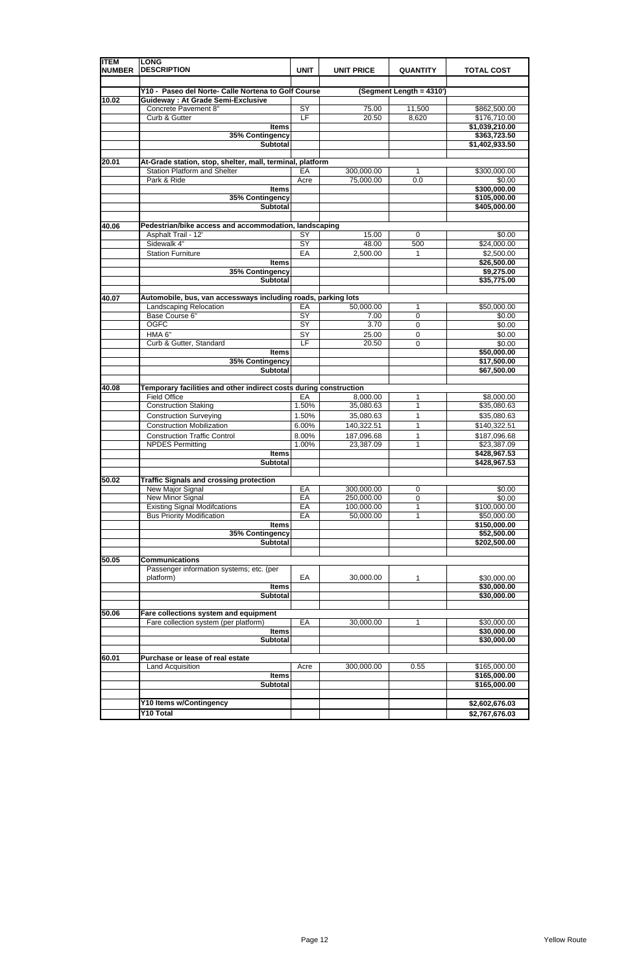| <b>ITEM</b><br><b>NUMBER</b> | <b>LONG</b><br><b>DESCRIPTION</b>                                                               | <b>UNIT</b>     | <b>UNIT PRICE</b>       | <b>QUANTITY</b>          | <b>TOTAL COST</b>            |  |  |
|------------------------------|-------------------------------------------------------------------------------------------------|-----------------|-------------------------|--------------------------|------------------------------|--|--|
|                              |                                                                                                 |                 |                         |                          |                              |  |  |
| 10.02                        | Y10 - Paseo del Norte- Calle Nortena to Golf Course<br><b>Guideway: At Grade Semi-Exclusive</b> |                 |                         | (Segment Length = 4310') |                              |  |  |
|                              | Concrete Pavement 8"                                                                            | SY              | 75.00                   | 11,500                   | \$862,500.00                 |  |  |
|                              | Curb & Gutter                                                                                   | E               | 20.50                   | 8,620                    | \$176,710.00                 |  |  |
|                              | <b>Items</b>                                                                                    |                 |                         |                          | \$1,039,210.00               |  |  |
|                              | 35% Contingency                                                                                 |                 |                         |                          | \$363,723.50                 |  |  |
|                              | <b>Subtotal</b>                                                                                 |                 |                         |                          | \$1,402,933.50               |  |  |
|                              |                                                                                                 |                 |                         |                          |                              |  |  |
| 20.01                        | At-Grade station, stop, shelter, mall, terminal, platform                                       |                 |                         |                          |                              |  |  |
|                              | <b>Station Platform and Shelter</b>                                                             | EA              | 300,000.00              | 1                        | \$300,000.00                 |  |  |
|                              | Park & Ride                                                                                     | Acre            | 75,000.00               | 0.0                      | \$0.00                       |  |  |
|                              | <b>Items</b>                                                                                    |                 |                         |                          | \$300,000.00                 |  |  |
|                              | 35% Contingency<br><b>Subtotal</b>                                                              |                 |                         |                          | \$105,000.00<br>\$405,000.00 |  |  |
|                              |                                                                                                 |                 |                         |                          |                              |  |  |
| 40.06                        | Pedestrian/bike access and accommodation, landscaping                                           |                 |                         |                          |                              |  |  |
|                              | Asphalt Trail - 12'                                                                             | SY              | 15.00                   | 0                        | \$0.00                       |  |  |
|                              | Sidewalk 4"                                                                                     | $\overline{SY}$ | 48.00                   | 500                      | \$24,000.00                  |  |  |
|                              | <b>Station Furniture</b>                                                                        | EA              | 2,500.00                | $\mathbf{1}$             | \$2,500.00                   |  |  |
|                              | <b>Items</b>                                                                                    |                 |                         |                          | \$26,500.00                  |  |  |
|                              | 35% Contingency                                                                                 |                 |                         |                          | \$9,275.00                   |  |  |
|                              | <b>Subtotal</b>                                                                                 |                 |                         |                          | \$35,775.00                  |  |  |
|                              |                                                                                                 |                 |                         |                          |                              |  |  |
| 40.07                        | Automobile, bus, van accessways including roads, parking lots                                   |                 |                         |                          |                              |  |  |
|                              | <b>Landscaping Relocation</b>                                                                   | EA              | 50,000.00               | $\mathbf{1}$             | \$50,000.00                  |  |  |
|                              | Base Course 6"                                                                                  | $\overline{SY}$ | 7.00                    | $\mathbf 0$              | \$0.00                       |  |  |
|                              | <b>OGFC</b>                                                                                     | SY              | 3.70                    | $\mathbf 0$              | \$0.00                       |  |  |
|                              | HMA 6"                                                                                          | SY              | 25.00                   | 0                        | \$0.00                       |  |  |
|                              | Curb & Gutter, Standard                                                                         | LF              | 20.50                   | $\mathbf 0$              | \$0.00                       |  |  |
|                              | <b>Items</b>                                                                                    |                 |                         |                          | \$50,000.00                  |  |  |
|                              | 35% Contingency<br><b>Subtotal</b>                                                              |                 |                         |                          | \$17,500.00<br>\$67,500.00   |  |  |
|                              |                                                                                                 |                 |                         |                          |                              |  |  |
| 40.08                        | Temporary facilities and other indirect costs during construction                               |                 |                         |                          |                              |  |  |
|                              | <b>Field Office</b>                                                                             | EA              | 8,000.00                | 1                        | \$8,000.00                   |  |  |
|                              | <b>Construction Staking</b>                                                                     | 1.50%           | 35,080.63               | 1                        | \$35,080.63                  |  |  |
|                              | <b>Construction Surveying</b>                                                                   | 1.50%           | 35,080.63               | 1                        | \$35,080.63                  |  |  |
|                              | <b>Construction Mobilization</b>                                                                | 6.00%           | 140,322.51              | 1                        | \$140,322.51                 |  |  |
|                              | <b>Construction Traffic Control</b>                                                             | 8.00%           | 187,096.68              | 1                        | \$187,096.68                 |  |  |
|                              | <b>NPDES Permitting</b>                                                                         | 1.00%           | 23,387.09               | 1                        | \$23,387.09                  |  |  |
|                              | <b>Items</b>                                                                                    |                 |                         |                          | \$428,967.53                 |  |  |
|                              | Subtotal                                                                                        |                 |                         |                          | \$428,967.53                 |  |  |
|                              |                                                                                                 |                 |                         |                          |                              |  |  |
| 50.02                        | <b>Traffic Signals and crossing protection</b>                                                  |                 |                         |                          |                              |  |  |
|                              | New Major Signal                                                                                | EA              | 300,000.00              | 0                        | \$0.00                       |  |  |
|                              | <b>New Minor Signal</b>                                                                         | EA              | 250,000.00              | $\mathsf 0$              | \$0.00                       |  |  |
|                              | <b>Existing Signal Modifcations</b><br><b>Bus Priority Modification</b>                         | EA<br>EA        | 100,000.00<br>50,000.00 | 1<br>1                   | \$100,000.00<br>\$50,000.00  |  |  |
|                              | <b>Items</b>                                                                                    |                 |                         |                          | \$150,000.00                 |  |  |
|                              | 35% Contingency                                                                                 |                 |                         |                          | \$52,500.00                  |  |  |
|                              | <b>Subtotal</b>                                                                                 |                 |                         |                          | \$202,500.00                 |  |  |
|                              |                                                                                                 |                 |                         |                          |                              |  |  |
| 50.05                        | <b>Communications</b>                                                                           |                 |                         |                          |                              |  |  |
|                              | Passenger information systems; etc. (per                                                        |                 |                         |                          |                              |  |  |
|                              | platform)                                                                                       | EA              | 30,000.00               | 1                        | \$30,000.00                  |  |  |
|                              | <b>Items</b>                                                                                    |                 |                         |                          | \$30,000.00                  |  |  |
|                              | Subtotal                                                                                        |                 |                         |                          | \$30,000.00                  |  |  |
|                              |                                                                                                 |                 |                         |                          |                              |  |  |
| 50.06                        | Fare collections system and equipment                                                           |                 |                         |                          |                              |  |  |
|                              | Fare collection system (per platform)<br><b>Items</b>                                           | EA              | 30,000.00               | 1                        | \$30,000.00<br>\$30,000.00   |  |  |
|                              | <b>Subtotal</b>                                                                                 |                 |                         |                          | \$30,000.00                  |  |  |
|                              |                                                                                                 |                 |                         |                          |                              |  |  |
| 60.01                        | Purchase or lease of real estate                                                                |                 |                         |                          |                              |  |  |
|                              | Land Acquisition                                                                                | Acre            | 300,000.00              | 0.55                     | \$165,000.00                 |  |  |
|                              | <b>Items</b>                                                                                    |                 |                         |                          | \$165,000.00                 |  |  |
|                              | <b>Subtotal</b>                                                                                 |                 |                         |                          | \$165,000.00                 |  |  |
|                              |                                                                                                 |                 |                         |                          |                              |  |  |
|                              | Y10 Items w/Contingency                                                                         |                 |                         |                          | \$2,602,676.03               |  |  |
|                              | <b>Y10 Total</b>                                                                                |                 |                         |                          | \$2,767,676.03               |  |  |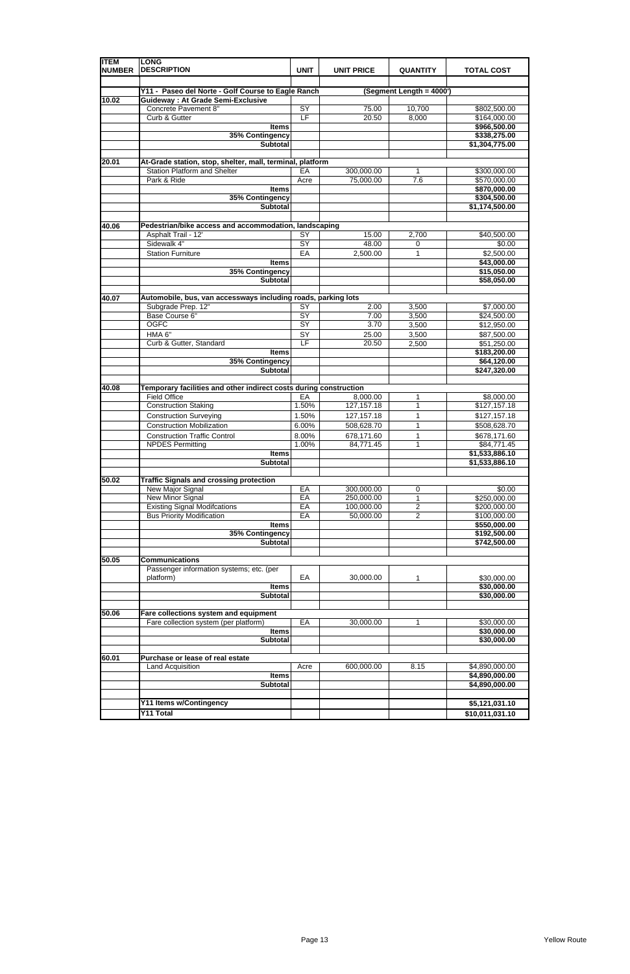| <b>ITEM</b><br><b>NUMBER</b> | <b>LONG</b><br><b>DESCRIPTION</b>                                 | <b>UNIT</b>     | <b>UNIT PRICE</b> | <b>QUANTITY</b>          | <b>TOTAL COST</b>                |  |
|------------------------------|-------------------------------------------------------------------|-----------------|-------------------|--------------------------|----------------------------------|--|
|                              |                                                                   |                 |                   |                          |                                  |  |
|                              | Y11 - Paseo del Norte - Golf Course to Eagle Ranch                |                 |                   | (Segment Length = 4000') |                                  |  |
| 10.02                        | <b>Guideway: At Grade Semi-Exclusive</b><br>Concrete Pavement 8"  | SY              | 75.00             | 10,700                   | \$802,500.00                     |  |
|                              | Curb & Gutter                                                     | E               | 20.50             | 8,000                    | \$164,000.00                     |  |
|                              | <b>Items</b>                                                      |                 |                   |                          | \$966,500.00                     |  |
|                              | 35% Contingency                                                   |                 |                   |                          | \$338,275.00                     |  |
|                              | <b>Subtotal</b>                                                   |                 |                   |                          | \$1,304,775.00                   |  |
| 20.01                        | At-Grade station, stop, shelter, mall, terminal, platform         |                 |                   |                          |                                  |  |
|                              | <b>Station Platform and Shelter</b>                               | EA              | 300,000.00        | 1                        | \$300,000.00                     |  |
|                              | Park & Ride                                                       | Acre            | 75,000.00         | 7.6                      | \$570,000.00                     |  |
|                              | <b>Items</b>                                                      |                 |                   |                          | \$870,000.00                     |  |
|                              | 35% Contingency                                                   |                 |                   |                          | \$304,500.00                     |  |
|                              | <b>Subtotal</b>                                                   |                 |                   |                          | \$1,174,500.00                   |  |
|                              |                                                                   |                 |                   |                          |                                  |  |
| 40.06                        | Pedestrian/bike access and accommodation, landscaping             |                 |                   |                          |                                  |  |
|                              | Asphalt Trail - 12'                                               | SY              | 15.00             | 2,700                    | \$40,500.00                      |  |
|                              | Sidewalk 4"                                                       | $\overline{SY}$ | 48.00             | 0                        | \$0.00                           |  |
|                              | <b>Station Furniture</b>                                          | EA              | 2,500.00          | 1                        | \$2,500.00                       |  |
|                              | <b>Items</b>                                                      |                 |                   |                          | \$43,000.00                      |  |
|                              | 35% Contingency                                                   |                 |                   |                          | \$15,050.00                      |  |
|                              | <b>Subtotal</b>                                                   |                 |                   |                          | \$58,050.00                      |  |
| 40.07                        | Automobile, bus, van accessways including roads, parking lots     |                 |                   |                          |                                  |  |
|                              | Subgrade Prep. 12"                                                | $\overline{SY}$ | 2.00              | 3,500                    | \$7,000.00                       |  |
|                              | Base Course 6"                                                    | $\overline{SY}$ | 7.00              | 3,500                    | \$24,500.00                      |  |
|                              | <b>OGFC</b>                                                       | SY              | 3.70              | 3,500                    | \$12,950.00                      |  |
|                              | HMA 6"                                                            | SY              | 25.00             | 3,500                    | \$87,500.00                      |  |
|                              | Curb & Gutter, Standard                                           | LF              | 20.50             | 2,500                    | \$51,250.00                      |  |
|                              | <b>Items</b>                                                      |                 |                   |                          | \$183,200.00                     |  |
|                              | 35% Contingency                                                   |                 |                   |                          | \$64,120.00                      |  |
|                              | <b>Subtotal</b>                                                   |                 |                   |                          | \$247,320.00                     |  |
| 40.08                        | Temporary facilities and other indirect costs during construction |                 |                   |                          |                                  |  |
|                              | <b>Field Office</b>                                               | EA              | 8,000.00          | 1                        | \$8,000.00                       |  |
|                              | <b>Construction Staking</b>                                       | 1.50%           | 127, 157. 18      | 1                        | \$127,157.18                     |  |
|                              | <b>Construction Surveying</b>                                     | 1.50%           | 127, 157. 18      | 1                        | \$127,157.18                     |  |
|                              | <b>Construction Mobilization</b>                                  | 6.00%           | 508,628.70        | 1                        | \$508,628.70                     |  |
|                              | <b>Construction Traffic Control</b>                               | 8.00%           | 678,171.60        | 1                        | \$678,171.60                     |  |
|                              | <b>NPDES Permitting</b>                                           | 1.00%           | 84,771.45         | 1                        | \$84,771.45                      |  |
|                              | <b>Items</b>                                                      |                 |                   |                          | \$1,533,886.10<br>\$1,533,886.10 |  |
|                              | Subtotal                                                          |                 |                   |                          |                                  |  |
| 50.02                        | <b>Traffic Signals and crossing protection</b>                    |                 |                   |                          |                                  |  |
|                              | New Major Signal                                                  | EA              | 300,000.00        | 0                        | \$0.00                           |  |
|                              | <b>New Minor Signal</b>                                           | EA              | 250,000.00        | 1                        | \$250,000.00                     |  |
|                              | <b>Existing Signal Modifcations</b>                               | EA              | 100,000.00        | $\overline{c}$           | \$200,000.00                     |  |
|                              | <b>Bus Priority Modification</b>                                  | EA              | 50,000.00         | $\overline{c}$           | \$100,000.00                     |  |
|                              | <b>Items</b>                                                      |                 |                   |                          | \$550,000.00                     |  |
|                              | 35% Contingency                                                   |                 |                   |                          | \$192,500.00                     |  |
|                              | <b>Subtotal</b>                                                   |                 |                   |                          | \$742,500.00                     |  |
| 50.05                        | <b>Communications</b>                                             |                 |                   |                          |                                  |  |
|                              | Passenger information systems; etc. (per                          |                 |                   |                          |                                  |  |
|                              | platform)                                                         | EA              | 30,000.00         | 1                        | \$30,000.00                      |  |
|                              | <b>Items</b>                                                      |                 |                   |                          | \$30,000.00                      |  |
|                              | Subtotal                                                          |                 |                   |                          | \$30,000.00                      |  |
|                              |                                                                   |                 |                   |                          |                                  |  |
| 50.06                        | Fare collections system and equipment                             |                 |                   |                          |                                  |  |
|                              | Fare collection system (per platform)                             | EA              | 30,000.00         | 1                        | \$30,000.00                      |  |
|                              | <b>Items</b><br><b>Subtotal</b>                                   |                 |                   |                          | \$30,000.00<br>\$30,000.00       |  |
|                              |                                                                   |                 |                   |                          |                                  |  |
| 60.01                        | Purchase or lease of real estate                                  |                 |                   |                          |                                  |  |
|                              | Land Acquisition                                                  | Acre            | 600,000.00        | 8.15                     | \$4,890,000.00                   |  |
|                              | <b>Items</b>                                                      |                 |                   |                          | \$4,890,000.00                   |  |
|                              | <b>Subtotal</b>                                                   |                 |                   |                          | \$4,890,000.00                   |  |
|                              |                                                                   |                 |                   |                          |                                  |  |
|                              | Y11 Items w/Contingency                                           |                 |                   |                          | \$5,121,031.10                   |  |
|                              | <b>Y11 Total</b>                                                  |                 |                   |                          | \$10,011,031.10                  |  |

|  |  | ________________ |
|--|--|------------------|
|  |  |                  |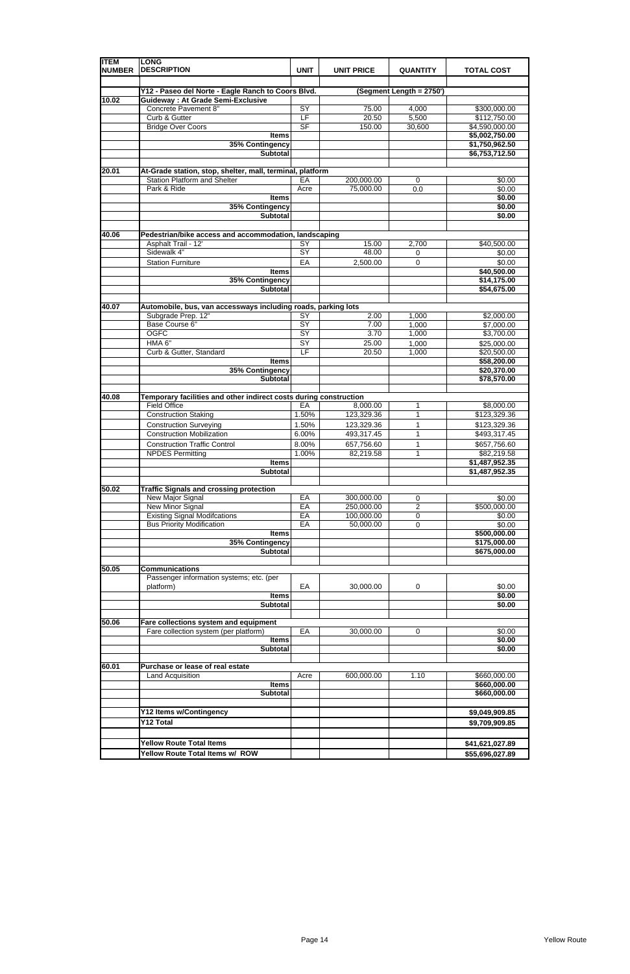| <b>ITEM</b><br><b>NUMBER</b> | <b>LONG</b><br><b>DESCRIPTION</b>                                       | <b>UNIT</b>     | <b>UNIT PRICE</b>       | <b>QUANTITY</b>          | <b>TOTAL COST</b>                |
|------------------------------|-------------------------------------------------------------------------|-----------------|-------------------------|--------------------------|----------------------------------|
|                              | Y12 - Paseo del Norte - Eagle Ranch to Coors Blvd.                      |                 |                         | (Segment Length = 2750') |                                  |
| 10.02                        | <b>Guideway: At Grade Semi-Exclusive</b>                                |                 |                         |                          |                                  |
|                              | <b>Concrete Pavement 8"</b>                                             | SY              | 75.00                   | 4,000                    | \$300,000.00                     |
|                              | Curb & Gutter                                                           | LF              | 20.50                   | 5,500                    | \$112,750.00                     |
|                              | <b>Bridge Over Coors</b>                                                | <b>SF</b>       | 150.00                  | 30,600                   | \$4,590,000.00                   |
|                              | <b>Items</b><br>35% Contingency                                         |                 |                         |                          | \$5,002,750.00<br>\$1,750,962.50 |
|                              | <b>Subtotal</b>                                                         |                 |                         |                          | \$6,753,712.50                   |
|                              |                                                                         |                 |                         |                          |                                  |
| 20.01                        | At-Grade station, stop, shelter, mall, terminal, platform               |                 |                         |                          |                                  |
|                              | <b>Station Platform and Shelter</b>                                     | EA              | 200,000.00              | 0                        | \$0.00                           |
|                              | Park & Ride                                                             | Acre            | 75,000.00               | 0.0                      | \$0.00                           |
|                              | <b>Items</b><br>35% Contingency                                         |                 |                         |                          | \$0.00<br>\$0.00                 |
|                              | <b>Subtotal</b>                                                         |                 |                         |                          | \$0.00                           |
|                              |                                                                         |                 |                         |                          |                                  |
| 40.06                        | Pedestrian/bike access and accommodation, landscaping                   |                 |                         |                          |                                  |
|                              | Asphalt Trail - 12'                                                     | <b>SY</b>       | 15.00                   | 2,700                    | \$40,500.00                      |
|                              | Sidewalk 4"                                                             | $\overline{SY}$ | 48.00                   | 0                        | \$0.00                           |
|                              | <b>Station Furniture</b>                                                | EA              | 2,500.00                | $\mathbf 0$              | \$0.00                           |
|                              | <b>Items</b>                                                            |                 |                         |                          | \$40,500.00                      |
|                              | 35% Contingency                                                         |                 |                         |                          | \$14,175.00                      |
|                              | <b>Subtotal</b>                                                         |                 |                         |                          | \$54,675.00                      |
| 40.07                        | Automobile, bus, van accessways including roads, parking lots           |                 |                         |                          |                                  |
|                              | Subgrade Prep. 12"                                                      | SY              | 2.00                    | 1,000                    | \$2,000.00                       |
|                              | Base Course 6"                                                          | SY              | 7.00                    | 1,000                    | \$7,000.00                       |
|                              | <b>OGFC</b>                                                             | $\overline{SY}$ | 3.70                    | 1,000                    | \$3,700.00                       |
|                              | HMA 6"                                                                  | SY              | 25.00                   | 1,000                    | \$25,000.00                      |
|                              | Curb & Gutter, Standard                                                 | E               | 20.50                   | 1,000                    | \$20,500.00                      |
|                              | <b>Items</b>                                                            |                 |                         |                          | \$58,200.00                      |
|                              | 35% Contingency<br><b>Subtotal</b>                                      |                 |                         |                          | \$20,370.00<br>\$78,570.00       |
|                              |                                                                         |                 |                         |                          |                                  |
| 40.08                        | Temporary facilities and other indirect costs during construction       |                 |                         |                          |                                  |
|                              | <b>Field Office</b>                                                     | EA              | 8,000.00                | 1                        | \$8,000.00                       |
|                              | <b>Construction Staking</b>                                             | 1.50%           | 123,329.36              | 1                        | \$123,329.36                     |
|                              | <b>Construction Surveying</b>                                           | 1.50%           | 123,329.36              | 1                        | \$123,329.36                     |
|                              | <b>Construction Mobilization</b>                                        | 6.00%           | 493,317.45              | 1                        | \$493,317.45                     |
|                              | <b>Construction Traffic Control</b>                                     | 8.00%           | 657,756.60              | 1                        | \$657,756.60                     |
|                              | <b>NPDES Permitting</b>                                                 | 1.00%           | 82,219.58               | 1                        | \$82,219.58                      |
|                              | <b>Items</b><br><b>Subtotal</b>                                         |                 |                         |                          | \$1,487,952.35<br>\$1,487,952.35 |
|                              |                                                                         |                 |                         |                          |                                  |
| 50.02                        | <b>Traffic Signals and crossing protection</b>                          |                 |                         |                          |                                  |
|                              | New Major Signal                                                        | EA              | 300,000.00              | 0                        | \$0.00                           |
|                              | <b>New Minor Signal</b>                                                 | EA              | 250,000.00              | $\overline{c}$           | \$500,000.00                     |
|                              | <b>Existing Signal Modifcations</b><br><b>Bus Priority Modification</b> | EA<br>EA        | 100,000.00<br>50,000.00 | 0<br>0                   | \$0.00<br>\$0.00                 |
|                              | <b>Items</b>                                                            |                 |                         |                          | \$500,000.00                     |
|                              | 35% Contingency                                                         |                 |                         |                          | \$175,000.00                     |
|                              | <b>Subtotal</b>                                                         |                 |                         |                          | \$675,000.00                     |
|                              |                                                                         |                 |                         |                          |                                  |
| 50.05                        | <b>Communications</b>                                                   |                 |                         |                          |                                  |
|                              | Passenger information systems; etc. (per                                |                 |                         |                          |                                  |
|                              | platform)<br><b>Items</b>                                               | EA              | 30,000.00               | 0                        | \$0.00<br>\$0.00                 |
|                              | <b>Subtotal</b>                                                         |                 |                         |                          | \$0.00                           |
|                              |                                                                         |                 |                         |                          |                                  |
| 50.06                        | Fare collections system and equipment                                   |                 |                         |                          |                                  |
|                              | Fare collection system (per platform)                                   | EA              | 30,000.00               | 0                        | \$0.00                           |
|                              | <b>Items</b>                                                            |                 |                         |                          | \$0.00                           |
|                              | <b>Subtotal</b>                                                         |                 |                         |                          | \$0.00                           |
| 60.01                        | Purchase or lease of real estate                                        |                 |                         |                          |                                  |
|                              | Land Acquisition                                                        | Acre            | 600,000.00              | 1.10                     | \$660,000.00                     |
|                              | <b>Items</b>                                                            |                 |                         |                          | \$660,000.00                     |
|                              | <b>Subtotal</b>                                                         |                 |                         |                          | \$660,000.00                     |
|                              |                                                                         |                 |                         |                          |                                  |
|                              | Y12 Items w/Contingency                                                 |                 |                         |                          | \$9,049,909.85                   |
|                              | <b>Y12 Total</b>                                                        |                 |                         |                          | \$9,709,909.85                   |
|                              |                                                                         |                 |                         |                          |                                  |
|                              | <b>Yellow Route Total Items</b>                                         |                 |                         |                          | \$41,621,027.89                  |
|                              | Yellow Route Total Items w/ ROW                                         |                 |                         |                          | \$55,696,027.89                  |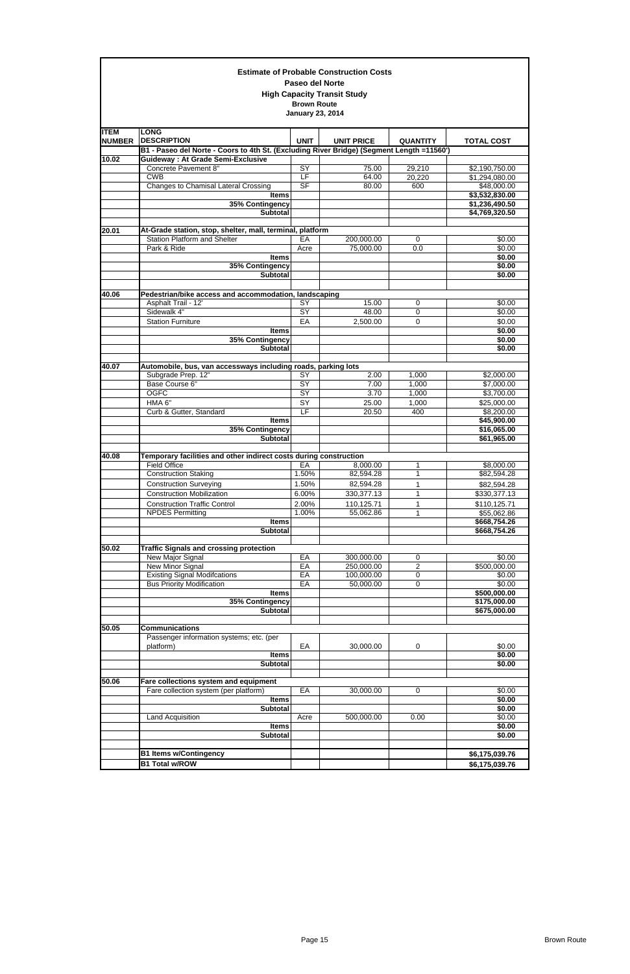|                              |                                                                                                                                       | Paseo del Norte                               | <b>Estimate of Probable Construction Costs</b> |                     |                                  |
|------------------------------|---------------------------------------------------------------------------------------------------------------------------------------|-----------------------------------------------|------------------------------------------------|---------------------|----------------------------------|
|                              |                                                                                                                                       | <b>Brown Route</b><br><b>January 23, 2014</b> | <b>High Capacity Transit Study</b>             |                     |                                  |
| <b>ITEM</b><br><b>NUMBER</b> | <b>LONG</b><br><b>DESCRIPTION</b>                                                                                                     | <b>UNIT</b>                                   | <b>UNIT PRICE</b>                              | <b>QUANTITY</b>     | <b>TOTAL COST</b>                |
| 10.02                        | B1 - Paseo del Norte - Coors to 4th St. (Excluding River Bridge) (Segment Length =11560")<br><b>Guideway: At Grade Semi-Exclusive</b> |                                               |                                                |                     |                                  |
|                              | Concrete Pavement 8"                                                                                                                  | SY                                            | 75.00                                          | 29,210              | \$2,190,750.00                   |
|                              | <b>CWB</b>                                                                                                                            | LF                                            | 64.00                                          | 20,220              | \$1,294,080.00                   |
|                              | <b>Changes to Chamisal Lateral Crossing</b>                                                                                           | S <sub>F</sub>                                | 80.00                                          | 600                 | \$48,000.00                      |
|                              | <b>Items</b>                                                                                                                          |                                               |                                                |                     | \$3,532,830.00                   |
|                              | 35% Contingency<br><b>Subtotal</b>                                                                                                    |                                               |                                                |                     | \$1,236,490.50<br>\$4,769,320.50 |
| 20.01                        | At-Grade station, stop, shelter, mall, terminal, platform                                                                             |                                               |                                                |                     |                                  |
|                              | <b>Station Platform and Shelter</b>                                                                                                   | EA                                            | 200,000.00                                     | $\mathbf 0$         | \$0.00                           |
|                              | Park & Ride                                                                                                                           | Acre                                          | 75,000.00                                      | 0.0                 | \$0.00                           |
|                              | <b>Items</b>                                                                                                                          |                                               |                                                |                     | \$0.00                           |
|                              | 35% Contingency<br><b>Subtotal</b>                                                                                                    |                                               |                                                |                     | \$0.00<br>\$0.00                 |
| 40.06                        | Pedestrian/bike access and accommodation, landscaping                                                                                 |                                               |                                                |                     |                                  |
|                              | Asphalt Trail - 12'<br>Sidewalk 4"                                                                                                    | SY<br>SY                                      | 15.00<br>48.00                                 | 0<br>0              | \$0.00<br>\$0.00                 |
|                              | <b>Station Furniture</b>                                                                                                              | EA                                            | 2,500.00                                       | 0                   | \$0.00                           |
|                              | <b>Items</b>                                                                                                                          |                                               |                                                |                     | \$0.00                           |
|                              | 35% Contingency                                                                                                                       |                                               |                                                |                     | \$0.00                           |
|                              | <b>Subtotal</b>                                                                                                                       |                                               |                                                |                     | \$0.00                           |
| 40.07                        | Automobile, bus, van accessways including roads, parking lots                                                                         |                                               |                                                |                     |                                  |
|                              | Subgrade Prep. 12"                                                                                                                    | SY                                            | 2.00                                           | 1,000               | \$2,000.00                       |
|                              | Base Course 6"                                                                                                                        | $\overline{SY}$                               | 7.00                                           | 1,000               | \$7,000.00                       |
|                              | <b>OGFC</b>                                                                                                                           | SY                                            | 3.70                                           | 1,000               | \$3,700.00                       |
|                              | HMA 6"                                                                                                                                | SY                                            | 25.00                                          | 1,000               | \$25,000.00                      |
|                              | Curb & Gutter, Standard<br><b>Items</b>                                                                                               | $\overline{LF}$                               | 20.50                                          | 400                 | \$8,200.00<br>\$45,900.00        |
|                              | 35% Contingency                                                                                                                       |                                               |                                                |                     | \$16,065.00                      |
|                              | <b>Subtotal</b>                                                                                                                       |                                               |                                                |                     | \$61,965.00                      |
| 40.08                        | Temporary facilities and other indirect costs during construction                                                                     |                                               |                                                |                     |                                  |
|                              | <b>Field Office</b>                                                                                                                   | EA                                            | 8,000.00                                       | 1                   | \$8,000.00                       |
|                              | <b>Construction Staking</b>                                                                                                           | 1.50%                                         | 82,594.28                                      | 1                   | \$82,594.28                      |
|                              | <b>Construction Surveying</b>                                                                                                         | 1.50%                                         | 82,594.28                                      | 1                   | \$82,594.28                      |
|                              | <b>Construction Mobilization</b>                                                                                                      | 6.00%                                         | 330, 377.13                                    | 1                   | \$330,377.13                     |
|                              | <b>Construction Traffic Control</b>                                                                                                   | 2.00%                                         | 110,125.71                                     | $\mathbf{1}$        | \$110,125.71                     |
|                              | <b>NPDES Permitting</b>                                                                                                               | 1.00%                                         | 55,062.86                                      | $\mathbf{1}$        | \$55,062.86                      |
|                              | <b>Items</b><br><b>Subtotal</b>                                                                                                       |                                               |                                                |                     | \$668,754.26<br>\$668,754.26     |
|                              |                                                                                                                                       |                                               |                                                |                     |                                  |
| 50.02                        | <b>Traffic Signals and crossing protection</b><br>New Major Signal                                                                    | EA                                            | 300,000.00                                     |                     | \$0.00                           |
|                              | New Minor Signal                                                                                                                      | EA                                            | 250,000.00                                     | 0<br>$\overline{c}$ | \$500,000.00                     |
|                              | <b>Existing Signal Modifcations</b>                                                                                                   | EA                                            | 100,000.00                                     | $\mathbf 0$         | \$0.00                           |
|                              | <b>Bus Priority Modification</b>                                                                                                      | EA                                            | 50,000.00                                      | 0                   | \$0.00                           |
|                              | <b>Items</b>                                                                                                                          |                                               |                                                |                     | \$500,000.00                     |
|                              | 35% Contingency                                                                                                                       |                                               |                                                |                     | \$175,000.00                     |
|                              | <b>Subtotal</b>                                                                                                                       |                                               |                                                |                     | \$675,000.00                     |
| 50.05                        | <b>Communications</b>                                                                                                                 |                                               |                                                |                     |                                  |
|                              | Passenger information systems; etc. (per                                                                                              |                                               |                                                |                     |                                  |
|                              | platform)                                                                                                                             | EA                                            | 30,000.00                                      | 0                   | \$0.00<br>\$0.00                 |
|                              | <b>Items</b><br><b>Subtotal</b>                                                                                                       |                                               |                                                |                     | \$0.00                           |
| 50.06                        | Fare collections system and equipment                                                                                                 |                                               |                                                |                     |                                  |
|                              | Fare collection system (per platform)                                                                                                 | EA                                            | 30,000.00                                      | $\mathbf 0$         | \$0.00                           |
|                              | <b>Items</b>                                                                                                                          |                                               |                                                |                     | \$0.00                           |
|                              | <b>Subtotal</b>                                                                                                                       |                                               |                                                |                     | \$0.00                           |
|                              | Land Acquisition                                                                                                                      | Acre                                          | 500,000.00                                     | 0.00                | \$0.00                           |
|                              | <b>Items</b>                                                                                                                          |                                               |                                                |                     | \$0.00                           |
|                              | <b>Subtotal</b>                                                                                                                       |                                               |                                                |                     | \$0.00                           |
|                              | <b>B1 Items w/Contingency</b>                                                                                                         |                                               |                                                |                     | \$6,175,039.76                   |
|                              | <b>B1 Total w/ROW</b>                                                                                                                 |                                               |                                                |                     | \$6,175,039.76                   |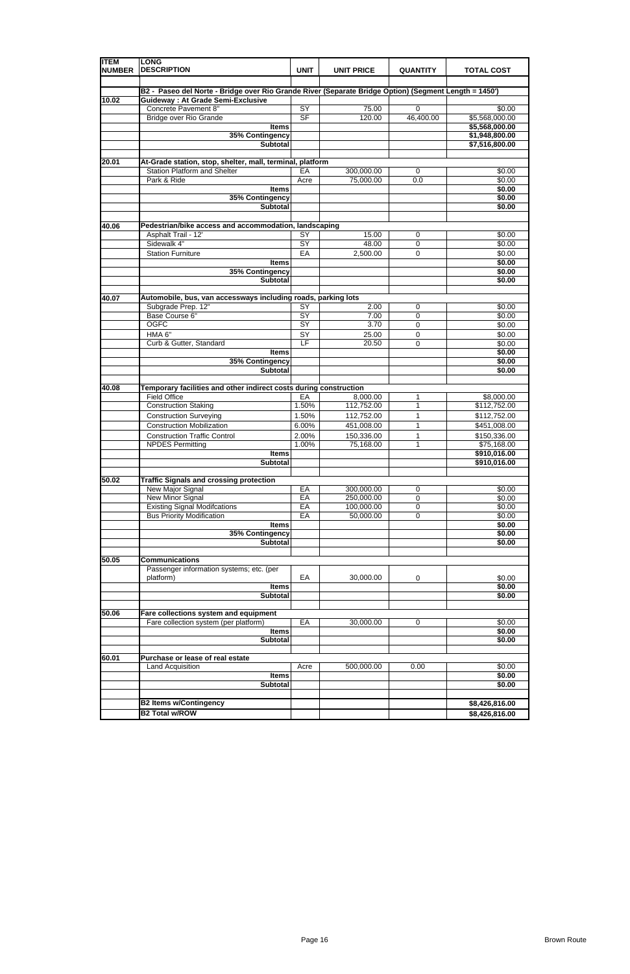| <b>ITEM</b><br><b>NUMBER</b> | <b>LONG</b><br><b>DESCRIPTION</b>                                                                     | <b>UNIT</b>     | <b>UNIT PRICE</b> | <b>QUANTITY</b> | <b>TOTAL COST</b> |
|------------------------------|-------------------------------------------------------------------------------------------------------|-----------------|-------------------|-----------------|-------------------|
|                              | B2 - Paseo del Norte - Bridge over Rio Grande River (Separate Bridge Option) (Segment Length = 1450') |                 |                   |                 |                   |
| 10.02                        | <b>Guideway: At Grade Semi-Exclusive</b>                                                              |                 |                   |                 |                   |
|                              | Concrete Pavement 8"                                                                                  | SY              | 75.00             | 0               | \$0.00            |
|                              | <b>Bridge over Rio Grande</b>                                                                         | SF              | 120.00            | 46,400.00       | \$5,568,000.00    |
|                              | <b>Items</b>                                                                                          |                 |                   |                 | \$5,568,000.00    |
|                              | 35% Contingency                                                                                       |                 |                   |                 | \$1,948,800.00    |
|                              | <b>Subtotal</b>                                                                                       |                 |                   |                 | \$7,516,800.00    |
| 20.01                        | At-Grade station, stop, shelter, mall, terminal, platform                                             |                 |                   |                 |                   |
|                              | <b>Station Platform and Shelter</b>                                                                   | EA              | 300,000.00        | 0               | \$0.00            |
|                              | Park & Ride                                                                                           | Acre            | 75,000.00         | 0.0             | \$0.00            |
|                              | <b>Items</b>                                                                                          |                 |                   |                 | \$0.00            |
|                              | 35% Contingency                                                                                       |                 |                   |                 | \$0.00            |
|                              | <b>Subtotal</b>                                                                                       |                 |                   |                 | \$0.00            |
|                              |                                                                                                       |                 |                   |                 |                   |
| 40.06                        | Pedestrian/bike access and accommodation, landscaping                                                 |                 |                   |                 |                   |
|                              | Asphalt Trail - 12'                                                                                   | SY              | 15.00             | 0               | \$0.00            |
|                              | Sidewalk 4"                                                                                           | $\overline{SY}$ | 48.00             | 0               | \$0.00            |
|                              | <b>Station Furniture</b>                                                                              | EA              | 2,500.00          | 0               | \$0.00            |
|                              | <b>Items</b>                                                                                          |                 |                   |                 | \$0.00            |
|                              | 35% Contingency<br><b>Subtotal</b>                                                                    |                 |                   |                 | \$0.00            |
|                              |                                                                                                       |                 |                   |                 | \$0.00            |
| 40.07                        | Automobile, bus, van accessways including roads, parking lots                                         |                 |                   |                 |                   |
|                              | Subgrade Prep. 12"                                                                                    | $\overline{SY}$ | 2.00              | 0               | \$0.00            |
|                              | Base Course 6"                                                                                        | $\overline{SY}$ | 7.00              | 0               | \$0.00            |
|                              | <b>OGFC</b>                                                                                           | SY              | 3.70              | 0               | \$0.00            |
|                              | HMA 6"                                                                                                | SY              | 25.00             | 0               | \$0.00            |
|                              | Curb & Gutter, Standard                                                                               | LF              | 20.50             | 0               | \$0.00            |
|                              | <b>Items</b>                                                                                          |                 |                   |                 | \$0.00            |
|                              | 35% Contingency                                                                                       |                 |                   |                 | \$0.00            |
|                              | <b>Subtotal</b>                                                                                       |                 |                   |                 | \$0.00            |
| 40.08                        | Temporary facilities and other indirect costs during construction                                     |                 |                   |                 |                   |
|                              | <b>Field Office</b>                                                                                   | EA              | 8,000.00          | 1               | \$8,000.00        |
|                              | <b>Construction Staking</b>                                                                           | 1.50%           | 112,752.00        | 1               | \$112,752.00      |
|                              | <b>Construction Surveying</b>                                                                         | 1.50%           | 112,752.00        | 1               | \$112,752.00      |
|                              | <b>Construction Mobilization</b>                                                                      | 6.00%           | 451,008.00        | 1               | \$451,008.00      |
|                              | <b>Construction Traffic Control</b>                                                                   | 2.00%           | 150,336.00        | 1               | \$150,336.00      |
|                              | <b>NPDES Permitting</b>                                                                               | 1.00%           | 75,168.00         | 1               | \$75,168.00       |
|                              | <b>Items</b>                                                                                          |                 |                   |                 | \$910,016.00      |
|                              | <b>Subtotal</b>                                                                                       |                 |                   |                 | \$910,016.00      |
| 50.02                        | <b>Traffic Signals and crossing protection</b>                                                        |                 |                   |                 |                   |
|                              | New Major Signal                                                                                      | EA              | 300,000.00        | 0               | \$0.00            |
|                              | New Minor Signal                                                                                      | EA              | 250,000.00        | 0               | \$0.00            |
|                              | <b>Existing Signal Modifcations</b>                                                                   | EA              | 100,000.00        | 0               | \$0.00            |
|                              | <b>Bus Priority Modification</b>                                                                      | EA              | 50,000.00         | 0               | \$0.00            |
|                              | <b>Items</b>                                                                                          |                 |                   |                 | \$0.00            |
|                              | 35% Contingency                                                                                       |                 |                   |                 | \$0.00            |
|                              | <b>Subtotal</b>                                                                                       |                 |                   |                 | \$0.00            |
|                              |                                                                                                       |                 |                   |                 |                   |
| 50.05                        | <b>Communications</b><br>Passenger information systems; etc. (per                                     |                 |                   |                 |                   |
|                              | platform)                                                                                             | EA              | 30,000.00         | 0               | \$0.00            |
|                              | <b>Items</b>                                                                                          |                 |                   |                 | \$0.00            |
|                              | <b>Subtotal</b>                                                                                       |                 |                   |                 | \$0.00            |
|                              |                                                                                                       |                 |                   |                 |                   |
| 50.06                        | Fare collections system and equipment                                                                 |                 |                   |                 |                   |
|                              | Fare collection system (per platform)                                                                 | EA              | 30,000.00         | 0               | \$0.00            |
|                              | <b>Items</b>                                                                                          |                 |                   |                 | \$0.00            |
|                              | <b>Subtotal</b>                                                                                       |                 |                   |                 | \$0.00            |
|                              |                                                                                                       |                 |                   |                 |                   |
| 60.01                        | Purchase or lease of real estate                                                                      |                 |                   |                 |                   |
|                              | Land Acquisition                                                                                      | Acre            | 500,000.00        | 0.00            | \$0.00            |
|                              | <b>Items</b>                                                                                          |                 |                   |                 | \$0.00            |
|                              | <b>Subtotal</b>                                                                                       |                 |                   |                 | \$0.00            |
|                              | <b>B2 Items w/Contingency</b>                                                                         |                 |                   |                 | \$8,426,816.00    |
|                              | <b>B2 Total w/ROW</b>                                                                                 |                 |                   |                 | \$8,426,816.00    |
|                              |                                                                                                       |                 |                   |                 |                   |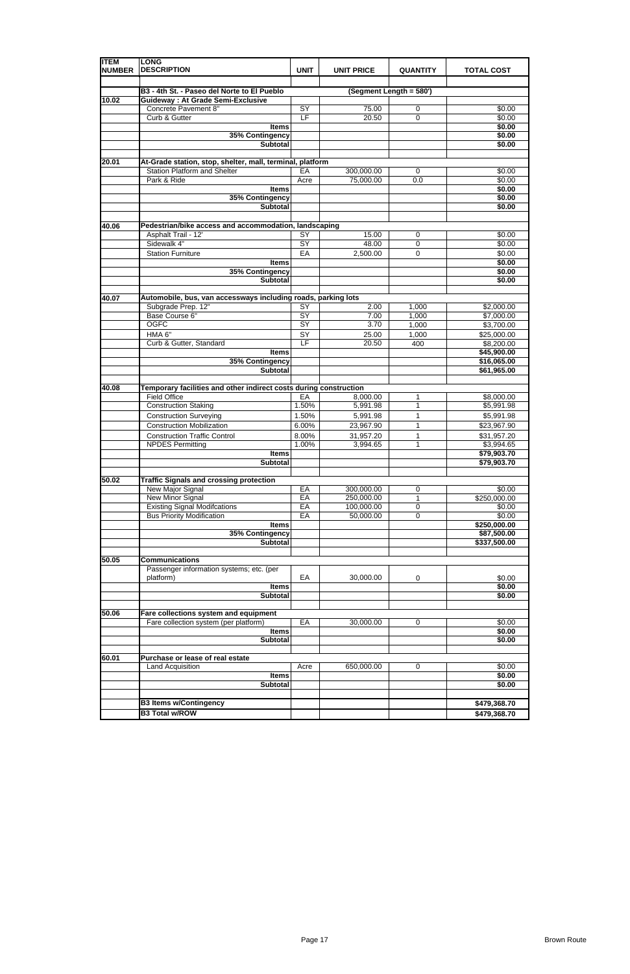| <b>ITEM</b><br><b>NUMBER</b> | <b>LONG</b><br><b>DESCRIPTION</b>                                                                | <b>UNIT</b>     | <b>UNIT PRICE</b> | <b>QUANTITY</b>         | <b>TOTAL COST</b> |
|------------------------------|--------------------------------------------------------------------------------------------------|-----------------|-------------------|-------------------------|-------------------|
|                              | B3 - 4th St. - Paseo del Norte to El Pueblo                                                      |                 |                   | (Segment Length = 580') |                   |
| 10.02                        | <b>Guideway: At Grade Semi-Exclusive</b>                                                         |                 |                   |                         |                   |
|                              | Concrete Pavement 8"                                                                             | SY              | 75.00             | 0                       | \$0.00            |
|                              | Curb & Gutter                                                                                    | E               | 20.50             | $\mathbf 0$             | \$0.00            |
|                              | <b>Items</b>                                                                                     |                 |                   |                         | \$0.00            |
|                              | 35% Contingency                                                                                  |                 |                   |                         | \$0.00            |
|                              | <b>Subtotal</b>                                                                                  |                 |                   |                         | \$0.00            |
|                              |                                                                                                  |                 |                   |                         |                   |
| 20.01                        | At-Grade station, stop, shelter, mall, terminal, platform<br><b>Station Platform and Shelter</b> | EA              | 300,000.00        | 0                       | \$0.00            |
|                              | Park & Ride                                                                                      | Acre            | 75,000.00         | 0.0                     | \$0.00            |
|                              | <b>Items</b>                                                                                     |                 |                   |                         | \$0.00            |
|                              | 35% Contingency                                                                                  |                 |                   |                         | \$0.00            |
|                              | <b>Subtotal</b>                                                                                  |                 |                   |                         | \$0.00            |
|                              |                                                                                                  |                 |                   |                         |                   |
| 40.06                        | Pedestrian/bike access and accommodation, landscaping                                            |                 |                   |                         |                   |
|                              | Asphalt Trail - 12'                                                                              | SY              | 15.00             | 0                       | \$0.00            |
|                              | Sidewalk 4"                                                                                      | SY              | 48.00             | $\mathbf 0$             | \$0.00            |
|                              | <b>Station Furniture</b>                                                                         | EA              | 2,500.00          | $\mathbf 0$             | \$0.00            |
|                              | <b>Items</b>                                                                                     |                 |                   |                         | \$0.00            |
|                              | 35% Contingency                                                                                  |                 |                   |                         | \$0.00            |
|                              | <b>Subtotal</b>                                                                                  |                 |                   |                         | \$0.00            |
| 40.07                        | Automobile, bus, van accessways including roads, parking lots                                    |                 |                   |                         |                   |
|                              | Subgrade Prep. 12"                                                                               | $\overline{SY}$ | 2.00              | 1,000                   | \$2,000.00        |
|                              | Base Course 6"                                                                                   | $\overline{SY}$ | 7.00              | 1,000                   | \$7,000.00        |
|                              | <b>OGFC</b>                                                                                      | SY              | 3.70              | 1,000                   | \$3,700.00        |
|                              | HMA 6"                                                                                           | SY              | 25.00             | 1,000                   | \$25,000.00       |
|                              | Curb & Gutter, Standard                                                                          | LF              | 20.50             | 400                     | \$8,200.00        |
|                              | <b>Items</b>                                                                                     |                 |                   |                         | \$45,900.00       |
|                              | 35% Contingency                                                                                  |                 |                   |                         | \$16,065.00       |
|                              | <b>Subtotal</b>                                                                                  |                 |                   |                         | \$61,965.00       |
| 40.08                        | Temporary facilities and other indirect costs during construction                                |                 |                   |                         |                   |
|                              | <b>Field Office</b>                                                                              | EA              | 8,000.00          | 1                       | \$8,000.00        |
|                              | <b>Construction Staking</b>                                                                      | 1.50%           | 5,991.98          | $\mathbf{1}$            | \$5,991.98        |
|                              | <b>Construction Surveying</b>                                                                    | 1.50%           | 5,991.98          | 1                       | \$5,991.98        |
|                              | <b>Construction Mobilization</b>                                                                 | 6.00%           | 23,967.90         | 1                       | \$23,967.90       |
|                              | <b>Construction Traffic Control</b>                                                              | 8.00%           | 31,957.20         | 1                       | \$31,957.20       |
|                              | <b>NPDES Permitting</b>                                                                          | 1.00%           | 3,994.65          | 1                       | \$3,994.65        |
|                              | <b>Items</b>                                                                                     |                 |                   |                         | \$79,903.70       |
|                              | Subtotal                                                                                         |                 |                   |                         | \$79,903.70       |
| 50.02                        | <b>Traffic Signals and crossing protection</b>                                                   |                 |                   |                         |                   |
|                              | New Major Signal                                                                                 | EA              | 300,000.00        | 0                       | \$0.00            |
|                              | <b>New Minor Signal</b>                                                                          | EA              | 250,000.00        | 1                       | \$250,000.00      |
|                              | <b>Existing Signal Modifcations</b>                                                              | EA              | 100,000.00        | $\mathbf 0$             | \$0.00            |
|                              | <b>Bus Priority Modification</b>                                                                 | EA              | 50,000.00         | $\mathbf 0$             | \$0.00            |
|                              | <b>Items</b>                                                                                     |                 |                   |                         | \$250,000.00      |
|                              | 35% Contingency                                                                                  |                 |                   |                         | \$87,500.00       |
|                              | <b>Subtotal</b>                                                                                  |                 |                   |                         | \$337,500.00      |
| 50.05                        | <b>Communications</b>                                                                            |                 |                   |                         |                   |
|                              | Passenger information systems; etc. (per                                                         |                 |                   |                         |                   |
|                              | platform)                                                                                        | EA              | 30,000.00         | 0                       | \$0.00            |
|                              | <b>Items</b>                                                                                     |                 |                   |                         | \$0.00            |
|                              | <b>Subtotal</b>                                                                                  |                 |                   |                         | \$0.00            |
|                              |                                                                                                  |                 |                   |                         |                   |
| 50.06                        | Fare collections system and equipment                                                            |                 |                   |                         |                   |
|                              | Fare collection system (per platform)                                                            | EA              | 30,000.00         | 0                       | \$0.00            |
|                              | <b>Items</b>                                                                                     |                 |                   |                         | \$0.00            |
|                              | <b>Subtotal</b>                                                                                  |                 |                   |                         | \$0.00            |
|                              |                                                                                                  |                 |                   |                         |                   |
| 60.01                        | Purchase or lease of real estate<br>Land Acquisition                                             | Acre            | 650,000.00        | 0                       | \$0.00            |
|                              | <b>Items</b>                                                                                     |                 |                   |                         | \$0.00            |
|                              | <b>Subtotal</b>                                                                                  |                 |                   |                         | \$0.00            |
|                              |                                                                                                  |                 |                   |                         |                   |
|                              | <b>B3 Items w/Contingency</b>                                                                    |                 |                   |                         | \$479,368.70      |
|                              | <b>B3 Total w/ROW</b>                                                                            |                 |                   |                         | \$479,368.70      |

|--|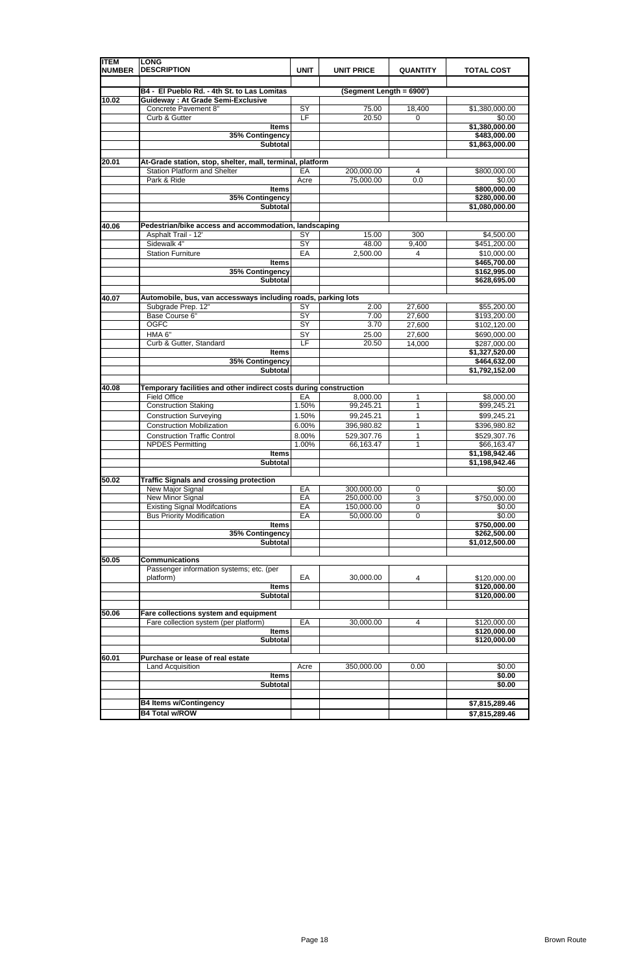| <b>ITEM</b><br><b>NUMBER</b> | <b>LONG</b><br><b>DESCRIPTION</b>                                                   | <b>UNIT</b>              | <b>UNIT PRICE</b>        | <b>QUANTITY</b> | <b>TOTAL COST</b>              |
|------------------------------|-------------------------------------------------------------------------------------|--------------------------|--------------------------|-----------------|--------------------------------|
|                              | B4 - El Pueblo Rd. - 4th St. to Las Lomitas                                         |                          | (Segment Length = 6900') |                 |                                |
| 10.02                        | <b>Guideway: At Grade Semi-Exclusive</b>                                            |                          |                          |                 |                                |
|                              | Concrete Pavement 8"                                                                | SY                       | 75.00                    | 18,400          | \$1,380,000.00                 |
|                              | Curb & Gutter                                                                       | $\overline{\mathsf{LF}}$ | 20.50                    | 0               | \$0.00                         |
|                              | <b>Items</b>                                                                        |                          |                          |                 | \$1,380,000.00                 |
|                              | 35% Contingency                                                                     |                          |                          |                 | \$483,000.00                   |
|                              | <b>Subtotal</b>                                                                     |                          |                          |                 | \$1,863,000.00                 |
| 20.01                        | At-Grade station, stop, shelter, mall, terminal, platform                           |                          |                          |                 |                                |
|                              | <b>Station Platform and Shelter</b>                                                 | EA                       | 200,000.00               | 4               | \$800,000.00                   |
|                              | Park & Ride                                                                         | Acre                     | 75,000.00                | 0.0             | \$0.00                         |
|                              | <b>Items</b>                                                                        |                          |                          |                 | \$800,000.00                   |
|                              | 35% Contingency                                                                     |                          |                          |                 | \$280,000.00                   |
|                              | <b>Subtotal</b>                                                                     |                          |                          |                 | \$1,080,000.00                 |
| 40.06                        | Pedestrian/bike access and accommodation, landscaping                               |                          |                          |                 |                                |
|                              | Asphalt Trail - 12'                                                                 | SY                       | 15.00                    | 300             | \$4,500.00                     |
|                              | Sidewalk 4"                                                                         | SY                       | 48.00                    | 9,400           | $\overline{$451,200.00}$       |
|                              | <b>Station Furniture</b>                                                            | EA                       | 2,500.00                 | 4               | \$10,000.00                    |
|                              | <b>Items</b>                                                                        |                          |                          |                 | \$465,700.00                   |
|                              | 35% Contingency                                                                     |                          |                          |                 | \$162,995.00                   |
|                              | <b>Subtotal</b>                                                                     |                          |                          |                 | \$628,695.00                   |
|                              |                                                                                     |                          |                          |                 |                                |
| 40.07                        | Automobile, bus, van accessways including roads, parking lots<br>Subgrade Prep. 12" | $\overline{SY}$          | 2.00                     | 27,600          | \$55,200.00                    |
|                              | Base Course 6"                                                                      | SY                       | 7.00                     | 27,600          | \$193,200.00                   |
|                              | <b>OGFC</b>                                                                         | SY                       | 3.70                     | 27,600          | \$102,120.00                   |
|                              | HMA 6"                                                                              | SY                       | 25.00                    | 27,600          | \$690,000.00                   |
|                              | Curb & Gutter, Standard                                                             | LF                       | 20.50                    | 14,000          | \$287,000.00                   |
|                              | <b>Items</b>                                                                        |                          |                          |                 | \$1,327,520.00                 |
|                              | 35% Contingency                                                                     |                          |                          |                 | \$464,632.00                   |
|                              | <b>Subtotal</b>                                                                     |                          |                          |                 | \$1,792,152.00                 |
| 40.08                        | Temporary facilities and other indirect costs during construction                   |                          |                          |                 |                                |
|                              | <b>Field Office</b>                                                                 | EA                       | 8,000.00                 | 1               | \$8,000.00                     |
|                              | <b>Construction Staking</b>                                                         | 1.50%                    | 99,245.21                | $\mathbf{1}$    | \$99,245.21                    |
|                              | <b>Construction Surveying</b>                                                       | 1.50%                    | 99,245.21                | 1               | \$99,245.21                    |
|                              | <b>Construction Mobilization</b>                                                    | 6.00%                    | 396,980.82               | 1               | \$396,980.82                   |
|                              | <b>Construction Traffic Control</b>                                                 | 8.00%                    | 529,307.76               | 1               | \$529,307.76                   |
|                              | <b>NPDES Permitting</b>                                                             | 1.00%                    | 66,163.47                | 1               | \$66,163.47                    |
|                              | <b>Items</b>                                                                        |                          |                          |                 | \$1,198,942.46                 |
|                              | Subtotal                                                                            |                          |                          |                 | \$1,198,942.46                 |
| 50.02                        | <b>Traffic Signals and crossing protection</b>                                      |                          |                          |                 |                                |
|                              | New Major Signal                                                                    | EA                       | 300,000.00               | 0               | \$0.00                         |
|                              | New Minor Signal                                                                    | EA                       | 250,000.00               | 3               | \$750,000.00                   |
|                              | <b>Existing Signal Modifcations</b>                                                 | EA                       | 150,000.00               | $\mathsf 0$     | \$0.00                         |
|                              | <b>Bus Priority Modification</b>                                                    | EA                       | 50,000.00                | 0               | \$0.00                         |
|                              | <b>Items</b>                                                                        |                          |                          |                 | \$750,000.00                   |
|                              | 35% Contingency<br><b>Subtotal</b>                                                  |                          |                          |                 | \$262,500.00<br>\$1,012,500.00 |
|                              |                                                                                     |                          |                          |                 |                                |
| 50.05                        | <b>Communications</b>                                                               |                          |                          |                 |                                |
|                              | Passenger information systems; etc. (per                                            |                          |                          |                 |                                |
|                              | platform)                                                                           | EA                       | 30,000.00                | 4               | \$120,000.00                   |
|                              | <b>Items</b>                                                                        |                          |                          |                 | \$120,000.00                   |
|                              | Subtotal                                                                            |                          |                          |                 | \$120,000.00                   |
| 50.06                        | Fare collections system and equipment                                               |                          |                          |                 |                                |
|                              | Fare collection system (per platform)                                               | EA                       | 30,000.00                | 4               | \$120,000.00                   |
|                              | <b>Items</b>                                                                        |                          |                          |                 | \$120,000.00                   |
|                              | <b>Subtotal</b>                                                                     |                          |                          |                 | \$120,000.00                   |
|                              |                                                                                     |                          |                          |                 |                                |
| 60.01                        | Purchase or lease of real estate                                                    |                          |                          |                 |                                |
|                              | Land Acquisition                                                                    | Acre                     | 350,000.00               | 0.00            | \$0.00                         |
|                              | <b>Items</b><br><b>Subtotal</b>                                                     |                          |                          |                 | \$0.00<br>\$0.00               |
|                              |                                                                                     |                          |                          |                 |                                |
|                              | <b>B4 Items w/Contingency</b>                                                       |                          |                          |                 | \$7,815,289.46                 |
|                              | <b>B4 Total w/ROW</b>                                                               |                          |                          |                 | \$7,815,289.46                 |

|  |  | -------------- |
|--|--|----------------|
|  |  |                |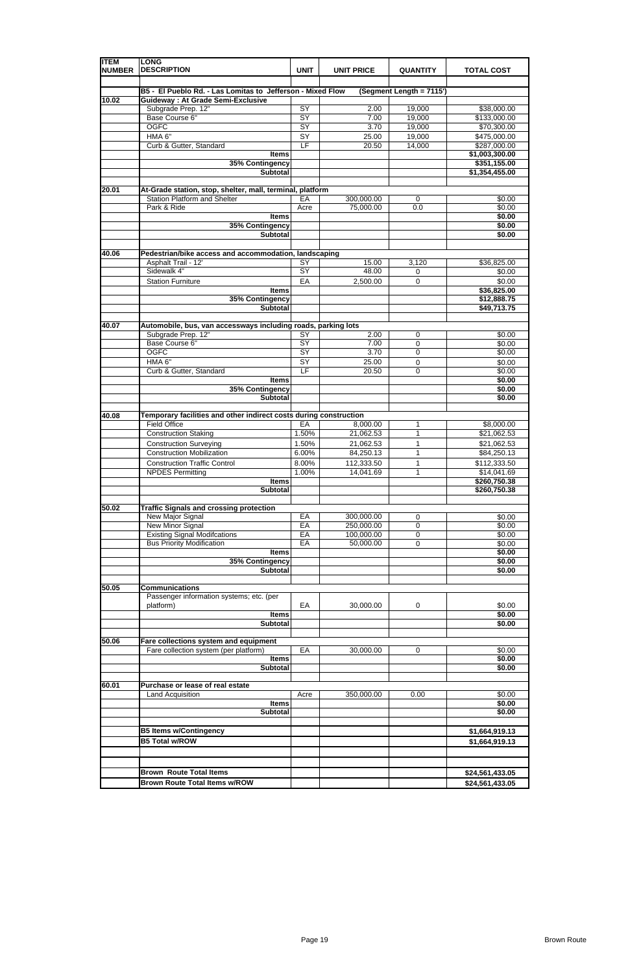| <b>ITEM</b>   | <b>LONG</b>                                                       |                 |                   |                          |                   |
|---------------|-------------------------------------------------------------------|-----------------|-------------------|--------------------------|-------------------|
| <b>NUMBER</b> | <b>DESCRIPTION</b>                                                | <b>UNIT</b>     | <b>UNIT PRICE</b> | <b>QUANTITY</b>          | <b>TOTAL COST</b> |
|               |                                                                   |                 |                   |                          |                   |
|               | B5 - El Pueblo Rd. - Las Lomitas to Jefferson - Mixed Flow        |                 |                   | (Segment Length = 7115') |                   |
| 10.02         | <b>Guideway: At Grade Semi-Exclusive</b>                          |                 |                   |                          |                   |
|               | Subgrade Prep. 12"                                                | SY              | 2.00              | 19,000                   | \$38,000.00       |
|               | Base Course 6"                                                    | $\overline{SY}$ | 7.00              | 19,000                   | \$133,000.00      |
|               | <b>OGFC</b>                                                       | SY              | 3.70              | 19,000                   | \$70,300.00       |
|               | HMA 6"                                                            | SY              | 25.00             | 19,000                   | \$475,000.00      |
|               | Curb & Gutter, Standard                                           | LF              | 20.50             | 14,000                   |                   |
|               |                                                                   |                 |                   |                          | \$287,000.00      |
|               | <b>Items</b>                                                      |                 |                   |                          | \$1,003,300.00    |
|               | 35% Contingency                                                   |                 |                   |                          | \$351,155.00      |
|               | <b>Subtotal</b>                                                   |                 |                   |                          | \$1,354,455.00    |
|               |                                                                   |                 |                   |                          |                   |
| 20.01         | At-Grade station, stop, shelter, mall, terminal, platform         |                 |                   |                          |                   |
|               | <b>Station Platform and Shelter</b>                               | EA              | 300,000.00        | 0                        | \$0.00            |
|               | Park & Ride                                                       | Acre            | 75,000.00         | 0.0                      | \$0.00            |
|               | <b>Items</b>                                                      |                 |                   |                          | \$0.00            |
|               | 35% Contingency                                                   |                 |                   |                          | \$0.00            |
|               | <b>Subtotal</b>                                                   |                 |                   |                          | \$0.00            |
|               |                                                                   |                 |                   |                          |                   |
| 40.06         | Pedestrian/bike access and accommodation, landscaping             |                 |                   |                          |                   |
|               | Asphalt Trail - 12'                                               | SY              | 15.00             | 3,120                    | \$36,825.00       |
|               | Sidewalk 4"                                                       | $\overline{SY}$ | 48.00             | 0                        | \$0.00            |
|               | <b>Station Furniture</b>                                          | EA              | 2,500.00          | $\mathbf 0$              | \$0.00            |
|               | <b>Items</b>                                                      |                 |                   |                          | \$36,825.00       |
|               |                                                                   |                 |                   |                          | \$12,888.75       |
|               | 35% Contingency                                                   |                 |                   |                          |                   |
|               | <b>Subtotal</b>                                                   |                 |                   |                          | \$49,713.75       |
|               |                                                                   |                 |                   |                          |                   |
| 40.07         | Automobile, bus, van accessways including roads, parking lots     |                 |                   |                          |                   |
|               | Subgrade Prep. 12"                                                | SY              | 2.00              | 0                        | \$0.00            |
|               | Base Course 6"                                                    | SY              | 7.00              | 0                        | \$0.00            |
|               | <b>OGFC</b>                                                       | $\overline{SY}$ | 3.70              | 0                        | \$0.00            |
|               | HMA 6"                                                            | SY              | 25.00             | 0                        | \$0.00            |
|               | Curb & Gutter, Standard                                           | LF              | 20.50             | 0                        | \$0.00            |
|               | <b>Items</b>                                                      |                 |                   |                          | \$0.00            |
|               | 35% Contingency                                                   |                 |                   |                          | \$0.00            |
|               | <b>Subtotal</b>                                                   |                 |                   |                          | \$0.00            |
|               |                                                                   |                 |                   |                          |                   |
| 40.08         | Temporary facilities and other indirect costs during construction |                 |                   |                          |                   |
|               |                                                                   |                 |                   |                          |                   |
|               | <b>Field Office</b>                                               | EA              | 8,000.00          | 1                        | \$8,000.00        |
|               | Construction Staking                                              | 1.50%           | 21,062.53         | 1                        | \$21,062.53       |
|               | <b>Construction Surveying</b>                                     | 1.50%           | 21,062.53         | 1                        | \$21,062.53       |
|               | <b>Construction Mobilization</b>                                  | 6.00%           | 84,250.13         | 1                        | \$84,250.13       |
|               | <b>Construction Traffic Control</b>                               | 8.00%           | 112,333.50        | 1                        | \$112,333.50      |
|               | <b>NPDES Permitting</b>                                           | 1.00%           | 14,041.69         | 1                        | \$14,041.69       |
|               | <b>Items</b>                                                      |                 |                   |                          | \$260,750.38      |
|               | <b>Subtotal</b>                                                   |                 |                   |                          | \$260,750.38      |
|               |                                                                   |                 |                   |                          |                   |
| 50.02         | <b>Traffic Signals and crossing protection</b>                    |                 |                   |                          |                   |
|               | New Major Signal                                                  | EA              | 300,000.00        |                          | \$0.00            |
|               |                                                                   | EA              |                   | 0                        |                   |
|               | <b>New Minor Signal</b>                                           |                 | 250,000.00        | 0                        | \$0.00            |
|               | <b>Existing Signal Modifcations</b>                               | EA              | 100,000.00        | 0                        | \$0.00            |
|               | <b>Bus Priority Modification</b>                                  | EA              | 50,000.00         | 0                        | \$0.00            |
|               | <b>Items</b>                                                      |                 |                   |                          | \$0.00            |
|               | 35% Contingency                                                   |                 |                   |                          | \$0.00            |
|               | <b>Subtotal</b>                                                   |                 |                   |                          | \$0.00            |
|               |                                                                   |                 |                   |                          |                   |
| 50.05         | <b>Communications</b>                                             |                 |                   |                          |                   |
|               | Passenger information systems; etc. (per                          |                 |                   |                          |                   |
|               | platform)                                                         | EA              | 30,000.00         | 0                        | \$0.00            |
|               | <b>Items</b>                                                      |                 |                   |                          | \$0.00            |
|               | <b>Subtotal</b>                                                   |                 |                   |                          | \$0.00            |
|               |                                                                   |                 |                   |                          |                   |
| 50.06         | Fare collections system and equipment                             |                 |                   |                          |                   |
|               | Fare collection system (per platform)                             | EA              | 30,000.00         | 0                        | \$0.00            |
|               | <b>Items</b>                                                      |                 |                   |                          | \$0.00            |
|               | <b>Subtotal</b>                                                   |                 |                   |                          | \$0.00            |
|               |                                                                   |                 |                   |                          |                   |
| 60.01         | Purchase or lease of real estate                                  |                 |                   |                          |                   |
|               | <b>Land Acquisition</b>                                           | Acre            | 350,000.00        | 0.00                     | \$0.00            |
|               |                                                                   |                 |                   |                          |                   |
|               | <b>Items</b>                                                      |                 |                   |                          | \$0.00            |
|               | <b>Subtotal</b>                                                   |                 |                   |                          | \$0.00            |
|               |                                                                   |                 |                   |                          |                   |
|               | <b>B5 Items w/Contingency</b>                                     |                 |                   |                          | \$1,664,919.13    |
|               | <b>B5 Total w/ROW</b>                                             |                 |                   |                          | \$1,664,919.13    |
|               |                                                                   |                 |                   |                          |                   |
|               |                                                                   |                 |                   |                          |                   |
|               |                                                                   |                 |                   |                          |                   |
|               | <b>Brown Route Total Items</b>                                    |                 |                   |                          | \$24,561,433.05   |
|               | <b>Brown Route Total Items w/ROW</b>                              |                 |                   |                          | \$24,561,433.05   |
|               |                                                                   |                 |                   |                          |                   |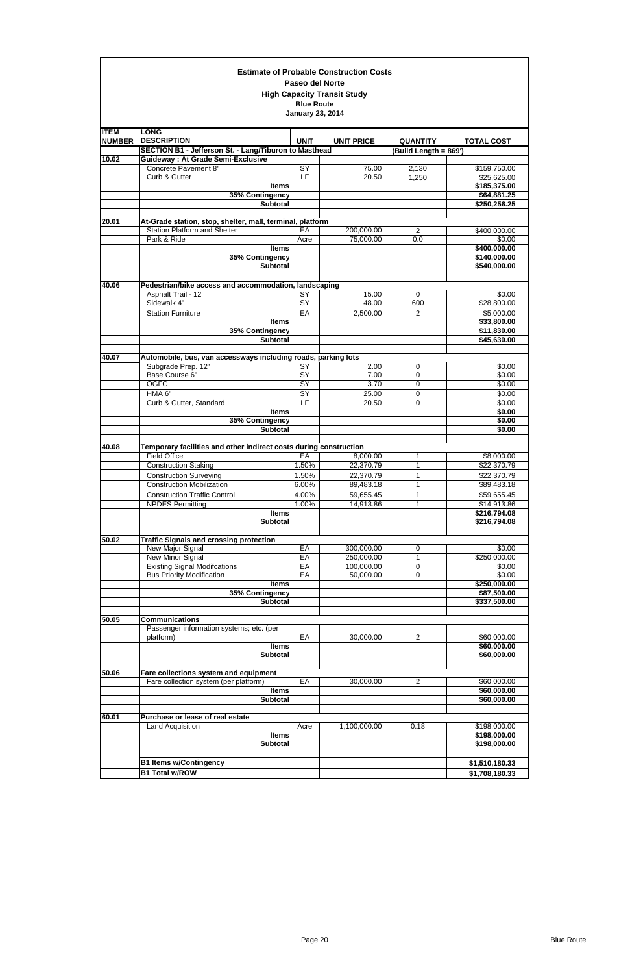|                              |                                                                                                  | <b>Paseo del Norte</b>                       | <b>Estimate of Probable Construction Costs</b><br><b>High Capacity Transit Study</b> |                                          |                              |
|------------------------------|--------------------------------------------------------------------------------------------------|----------------------------------------------|--------------------------------------------------------------------------------------|------------------------------------------|------------------------------|
|                              |                                                                                                  | <b>Blue Route</b><br><b>January 23, 2014</b> |                                                                                      |                                          |                              |
| <b>ITEM</b><br><b>NUMBER</b> | <b>LONG</b><br><b>DESCRIPTION</b><br>SECTION B1 - Jefferson St. - Lang/Tiburon to Masthead       | <b>UNIT</b>                                  | <b>UNIT PRICE</b>                                                                    | <b>QUANTITY</b><br>(Build Length = 869') | <b>TOTAL COST</b>            |
| 10.02                        | <b>Guideway: At Grade Semi-Exclusive</b>                                                         |                                              |                                                                                      |                                          |                              |
|                              | Concrete Pavement 8"                                                                             | $\overline{SY}$                              | 75.00                                                                                | 2,130                                    | \$159,750.00                 |
|                              | Curb & Gutter                                                                                    | LF                                           | 20.50                                                                                | 1,250                                    | \$25,625.00                  |
|                              | <b>Items</b>                                                                                     |                                              |                                                                                      |                                          | \$185,375.00                 |
|                              | 35% Contingency<br><b>Subtotal</b>                                                               |                                              |                                                                                      |                                          | \$64,881.25<br>\$250,256.25  |
| 20.01                        | At-Grade station, stop, shelter, mall, terminal, platform<br><b>Station Platform and Shelter</b> | EA                                           | 200,000.00                                                                           | $\overline{2}$                           | \$400,000.00                 |
|                              | Park & Ride                                                                                      | Acre                                         | 75,000.00                                                                            | 0.0                                      | \$0.00                       |
|                              | <b>Items</b>                                                                                     |                                              |                                                                                      |                                          | \$400,000.00                 |
|                              | 35% Contingency<br><b>Subtotal</b>                                                               |                                              |                                                                                      |                                          | \$140,000.00<br>\$540,000.00 |
| 40.06                        | Pedestrian/bike access and accommodation, landscaping                                            |                                              |                                                                                      |                                          |                              |
|                              | Asphalt Trail - 12'                                                                              | SY                                           | 15.00                                                                                | $\mathbf 0$                              | \$0.00                       |
|                              | Sidewalk 4"                                                                                      | SY                                           | 48.00                                                                                | 600                                      | \$28,800.00                  |
|                              | <b>Station Furniture</b><br><b>Items</b>                                                         | EA                                           | 2,500.00                                                                             | $\overline{2}$                           | \$5,000.00<br>\$33,800.00    |
|                              | 35% Contingency                                                                                  |                                              |                                                                                      |                                          | \$11,830.00                  |
|                              | <b>Subtotal</b>                                                                                  |                                              |                                                                                      |                                          | \$45,630.00                  |
| 40.07                        | Automobile, bus, van accessways including roads, parking lots<br>Subgrade Prep. 12"              | SY                                           | 2.00                                                                                 | 0                                        | \$0.00                       |
|                              | Base Course 6"                                                                                   | SY                                           | 7.00                                                                                 | 0                                        | $\sqrt{$0.00}$               |
|                              | <b>OGFC</b>                                                                                      | $\overline{SY}$                              | 3.70                                                                                 | 0                                        | \$0.00                       |
|                              | HMA <sub>6"</sub>                                                                                | SY                                           | 25.00                                                                                | 0                                        | \$0.00                       |
|                              | Curb & Gutter, Standard<br>Items                                                                 | E                                            | 20.50                                                                                | $\Omega$                                 | \$0.00<br>\$0.00             |
|                              | 35% Contingency<br><b>Subtotal</b>                                                               |                                              |                                                                                      |                                          | \$0.00<br>\$0.00             |
| 40.08                        | Temporary facilities and other indirect costs during construction                                |                                              |                                                                                      |                                          |                              |
|                              | <b>Field Office</b>                                                                              | EA                                           | 8,000.00                                                                             | 1                                        | \$8,000.00                   |
|                              | <b>Construction Staking</b>                                                                      | 1.50%                                        | 22,370.79                                                                            | 1                                        | \$22,370.79                  |
|                              | <b>Construction Surveying</b><br><b>Construction Mobilization</b>                                | 1.50%<br>6.00%                               | 22,370.79<br>89,483.18                                                               | 1<br>1                                   | \$22,370.79<br>\$89,483.18   |
|                              | <b>Construction Traffic Control</b>                                                              | 4.00%                                        | 59,655.45                                                                            | 1                                        | \$59,655.45                  |
|                              | <b>NPDES Permitting</b>                                                                          | 1.00%                                        | 14,913.86                                                                            | 1                                        | \$14,913.86                  |
|                              | <b>Items</b>                                                                                     |                                              |                                                                                      |                                          | \$216,794.08                 |
|                              | <b>Subtotal</b>                                                                                  |                                              |                                                                                      |                                          | \$216,794.08                 |
| 50.02                        | <b>Traffic Signals and crossing protection</b>                                                   |                                              |                                                                                      |                                          |                              |
|                              | New Major Signal                                                                                 | EA<br>EA                                     | 300,000.00                                                                           | 0                                        | \$0.00                       |
|                              | New Minor Signal<br><b>Existing Signal Modifcations</b>                                          | EA                                           | 250,000.00<br>100,000.00                                                             | 1<br>0                                   | \$250,000.00<br>\$0.00       |
|                              | <b>Bus Priority Modification</b>                                                                 | EA                                           | 50,000.00                                                                            | 0                                        | \$0.00                       |
|                              | <b>Items</b>                                                                                     |                                              |                                                                                      |                                          | \$250,000.00                 |
|                              | 35% Contingency<br><b>Subtotal</b>                                                               |                                              |                                                                                      |                                          | \$87,500.00<br>\$337,500.00  |
|                              |                                                                                                  |                                              |                                                                                      |                                          |                              |
| 50.05                        | <b>Communications</b>                                                                            |                                              |                                                                                      |                                          |                              |
|                              | Passenger information systems; etc. (per<br>platform)                                            | EA                                           | 30,000.00                                                                            | $\overline{c}$                           | \$60,000.00                  |
|                              | <b>Items</b>                                                                                     |                                              |                                                                                      |                                          | \$60,000.00                  |
|                              | <b>Subtotal</b>                                                                                  |                                              |                                                                                      |                                          | \$60,000.00                  |
|                              |                                                                                                  |                                              |                                                                                      |                                          |                              |
| 50.06                        | Fare collections system and equipment                                                            |                                              |                                                                                      |                                          |                              |
|                              | Fare collection system (per platform)<br><b>Items</b>                                            | EA                                           | 30,000.00                                                                            | 2                                        | \$60,000.00<br>\$60,000.00   |
|                              | <b>Subtotal</b>                                                                                  |                                              |                                                                                      |                                          | \$60,000.00                  |
| 60.01                        | Purchase or lease of real estate                                                                 |                                              |                                                                                      |                                          |                              |
|                              | Land Acquisition                                                                                 | Acre                                         | 1,100,000.00                                                                         | 0.18                                     | \$198,000.00                 |
|                              | <b>Items</b>                                                                                     |                                              |                                                                                      |                                          | \$198,000.00                 |
|                              | Subtotal                                                                                         |                                              |                                                                                      |                                          | \$198,000.00                 |
|                              |                                                                                                  |                                              |                                                                                      |                                          |                              |
|                              | <b>B1 Items w/Contingency</b>                                                                    |                                              |                                                                                      |                                          | \$1,510,180.33               |
|                              | <b>B1 Total w/ROW</b>                                                                            |                                              |                                                                                      |                                          | \$1,708,180.33               |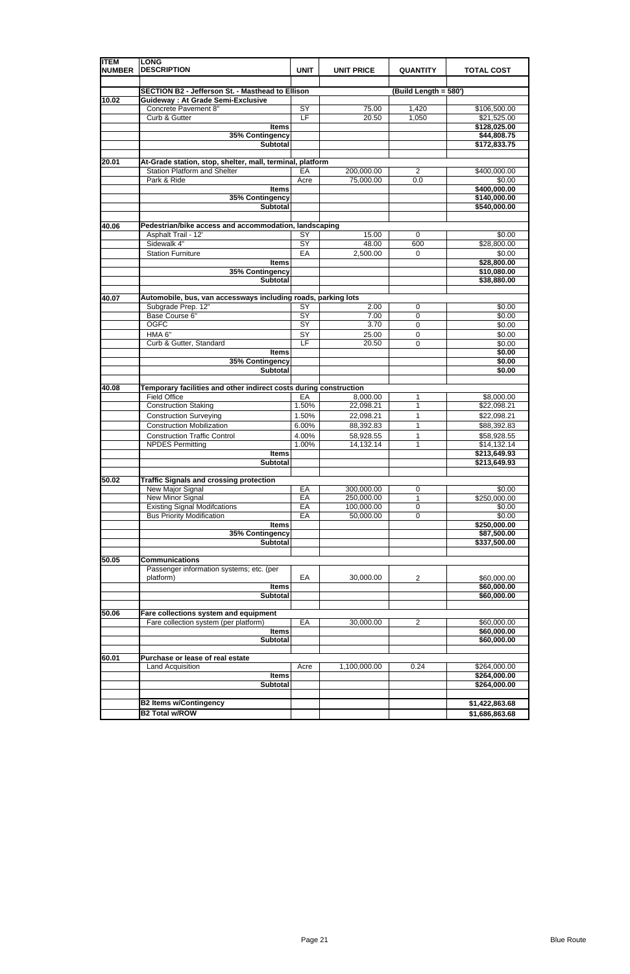| <b>ITEM</b><br><b>NUMBER</b> | <b>LONG</b><br><b>DESCRIPTION</b>                                                                | <b>UNIT</b>     | <b>UNIT PRICE</b>       | <b>QUANTITY</b>       | <b>TOTAL COST</b>            |
|------------------------------|--------------------------------------------------------------------------------------------------|-----------------|-------------------------|-----------------------|------------------------------|
|                              |                                                                                                  |                 |                         |                       |                              |
|                              | <b>SECTION B2 - Jefferson St. - Masthead to Ellison</b>                                          |                 |                         | (Build Length = 580') |                              |
| 10.02                        | <b>Guideway: At Grade Semi-Exclusive</b><br>Concrete Pavement 8"                                 | SY              | 75.00                   | 1,420                 | \$106,500.00                 |
|                              | Curb & Gutter                                                                                    | E               | 20.50                   | 1,050                 | \$21,525.00                  |
|                              | <b>Items</b>                                                                                     |                 |                         |                       | \$128,025.00                 |
|                              | 35% Contingency                                                                                  |                 |                         |                       | \$44,808.75                  |
|                              | <b>Subtotal</b>                                                                                  |                 |                         |                       | \$172,833.75                 |
|                              |                                                                                                  |                 |                         |                       |                              |
| 20.01                        | At-Grade station, stop, shelter, mall, terminal, platform<br><b>Station Platform and Shelter</b> |                 |                         |                       |                              |
|                              | Park & Ride                                                                                      | EA<br>Acre      | 200,000.00<br>75,000.00 | 2<br>0.0              | \$400,000.00<br>\$0.00       |
|                              | <b>Items</b>                                                                                     |                 |                         |                       | \$400,000.00                 |
|                              | 35% Contingency                                                                                  |                 |                         |                       | \$140,000.00                 |
|                              | <b>Subtotal</b>                                                                                  |                 |                         |                       | \$540,000.00                 |
|                              |                                                                                                  |                 |                         |                       |                              |
| 40.06                        | Pedestrian/bike access and accommodation, landscaping                                            |                 |                         |                       |                              |
|                              | Asphalt Trail - 12'                                                                              | SY              | 15.00                   | 0                     | \$0.00                       |
|                              | Sidewalk 4"                                                                                      | $\overline{SY}$ | 48.00                   | 600                   | \$28,800.00                  |
|                              | <b>Station Furniture</b>                                                                         | EA              | 2,500.00                | $\mathbf 0$           | \$0.00                       |
|                              | <b>Items</b>                                                                                     |                 |                         |                       | \$28,800.00                  |
|                              | 35% Contingency                                                                                  |                 |                         |                       | \$10,080.00                  |
|                              | <b>Subtotal</b>                                                                                  |                 |                         |                       | \$38,880.00                  |
| 40.07                        | Automobile, bus, van accessways including roads, parking lots                                    |                 |                         |                       |                              |
|                              | Subgrade Prep. 12"                                                                               | $\overline{SY}$ | 2.00                    | $\mathbf 0$           | \$0.00                       |
|                              | Base Course 6"                                                                                   | $\overline{SY}$ | 7.00                    | $\mathbf 0$           | \$0.00                       |
|                              | <b>OGFC</b>                                                                                      | SY              | 3.70                    | $\mathbf 0$           | \$0.00                       |
|                              | HMA 6"                                                                                           | SY              | 25.00                   | 0                     | \$0.00                       |
|                              | Curb & Gutter, Standard                                                                          | LF              | 20.50                   | $\mathbf 0$           | \$0.00                       |
|                              | <b>Items</b>                                                                                     |                 |                         |                       | \$0.00                       |
|                              | 35% Contingency                                                                                  |                 |                         |                       | \$0.00                       |
|                              | <b>Subtotal</b>                                                                                  |                 |                         |                       | \$0.00                       |
| 40.08                        | Temporary facilities and other indirect costs during construction                                |                 |                         |                       |                              |
|                              | <b>Field Office</b>                                                                              | EA              | 8,000.00                | 1                     | \$8,000.00                   |
|                              | <b>Construction Staking</b>                                                                      | 1.50%           | 22,098.21               | 1                     | \$22,098.21                  |
|                              | <b>Construction Surveying</b>                                                                    | 1.50%           | 22,098.21               | 1                     | \$22,098.21                  |
|                              | <b>Construction Mobilization</b>                                                                 | 6.00%           | 88,392.83               | 1                     | \$88,392.83                  |
|                              | <b>Construction Traffic Control</b>                                                              | 4.00%           | 58,928.55               | 1                     | \$58,928.55                  |
|                              | <b>NPDES Permitting</b>                                                                          | 1.00%           | 14,132.14               | 1                     | \$14,132.14                  |
|                              | <b>Items</b><br>Subtotal                                                                         |                 |                         |                       | \$213,649.93<br>\$213,649.93 |
|                              |                                                                                                  |                 |                         |                       |                              |
| 50.02                        | <b>Traffic Signals and crossing protection</b>                                                   |                 |                         |                       |                              |
|                              | New Major Signal                                                                                 | EA              | 300,000.00              | 0                     | \$0.00                       |
|                              | New Minor Signal                                                                                 | EA              | 250,000.00              | 1                     | \$250,000.00                 |
|                              | <b>Existing Signal Modifcations</b>                                                              | EA              | 100,000.00              | 0                     | \$0.00                       |
|                              | <b>Bus Priority Modification</b>                                                                 | EA              | 50,000.00               | $\mathbf 0$           | \$0.00                       |
|                              | <b>Items</b>                                                                                     |                 |                         |                       | \$250,000.00                 |
|                              | 35% Contingency<br><b>Subtotal</b>                                                               |                 |                         |                       | \$87,500.00                  |
|                              |                                                                                                  |                 |                         |                       | \$337,500.00                 |
| 50.05                        | <b>Communications</b>                                                                            |                 |                         |                       |                              |
|                              | Passenger information systems; etc. (per                                                         |                 |                         |                       |                              |
|                              | platform)                                                                                        | EA              | 30,000.00               | $\overline{2}$        | \$60,000.00                  |
|                              | <b>Items</b>                                                                                     |                 |                         |                       | \$60,000.00                  |
|                              | Subtotal                                                                                         |                 |                         |                       | \$60,000.00                  |
|                              |                                                                                                  |                 |                         |                       |                              |
| 50.06                        | Fare collections system and equipment                                                            |                 |                         |                       |                              |
|                              | Fare collection system (per platform)                                                            | EA              | 30,000.00               | $\overline{c}$        | \$60,000.00                  |
|                              | <b>Items</b>                                                                                     |                 |                         |                       | \$60,000.00                  |
|                              | <b>Subtotal</b>                                                                                  |                 |                         |                       | \$60,000.00                  |
| 60.01                        | Purchase or lease of real estate                                                                 |                 |                         |                       |                              |
|                              | Land Acquisition                                                                                 | Acre            | 1,100,000.00            | 0.24                  | \$264,000.00                 |
|                              | <b>Items</b>                                                                                     |                 |                         |                       | \$264,000.00                 |
|                              | <b>Subtotal</b>                                                                                  |                 |                         |                       | \$264,000.00                 |
|                              |                                                                                                  |                 |                         |                       |                              |
|                              | <b>B2 Items w/Contingency</b>                                                                    |                 |                         |                       | \$1,422,863.68               |
|                              | <b>B2 Total w/ROW</b>                                                                            |                 |                         |                       | \$1,686,863.68               |

|  | . |
|--|---|
|  |   |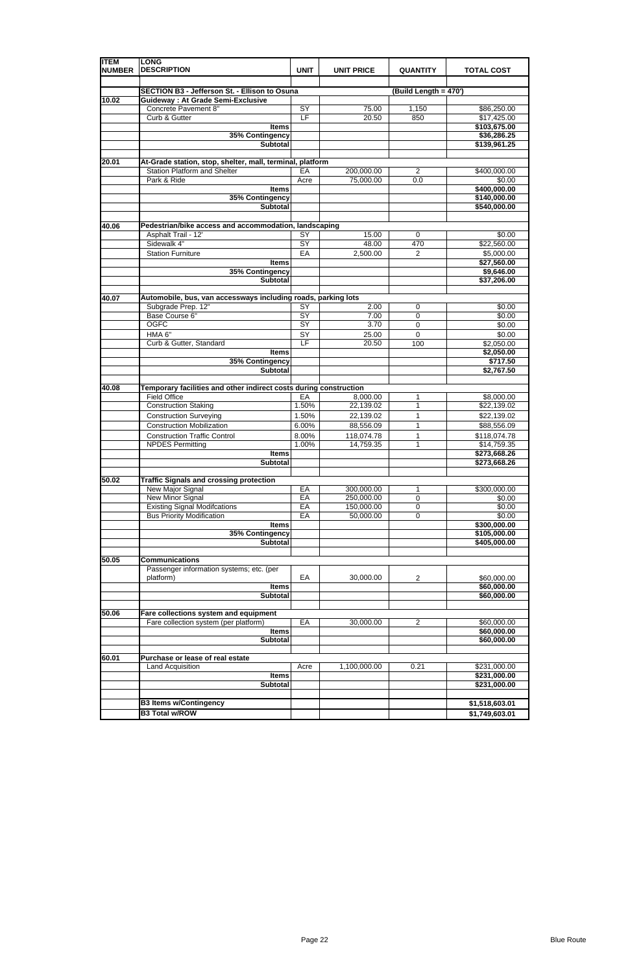| <b>ITEM</b><br><b>NUMBER</b> | <b>LONG</b><br><b>DESCRIPTION</b>                                 | <b>UNIT</b>     | <b>UNIT PRICE</b>       | <b>QUANTITY</b>       | <b>TOTAL COST</b>            |
|------------------------------|-------------------------------------------------------------------|-----------------|-------------------------|-----------------------|------------------------------|
|                              |                                                                   |                 |                         |                       |                              |
|                              | <b>SECTION B3 - Jefferson St. - Ellison to Osuna</b>              |                 |                         | (Build Length = 470') |                              |
| 10.02                        | <b>Guideway: At Grade Semi-Exclusive</b><br>Concrete Pavement 8"  | SY              | 75.00                   | 1,150                 | \$86,250.00                  |
|                              | Curb & Gutter                                                     | E               | 20.50                   | 850                   | \$17,425.00                  |
|                              | <b>Items</b>                                                      |                 |                         |                       | \$103,675.00                 |
|                              | 35% Contingency                                                   |                 |                         |                       | \$36,286.25                  |
|                              | <b>Subtotal</b>                                                   |                 |                         |                       | \$139,961.25                 |
|                              |                                                                   |                 |                         |                       |                              |
| 20.01                        | At-Grade station, stop, shelter, mall, terminal, platform         |                 |                         |                       |                              |
|                              | <b>Station Platform and Shelter</b><br>Park & Ride                | EA              | 200,000.00<br>75,000.00 | 2<br>0.0              | \$400,000.00<br>\$0.00       |
|                              | <b>Items</b>                                                      | Acre            |                         |                       | \$400,000.00                 |
|                              | 35% Contingency                                                   |                 |                         |                       | \$140,000.00                 |
|                              | <b>Subtotal</b>                                                   |                 |                         |                       | \$540,000.00                 |
|                              |                                                                   |                 |                         |                       |                              |
| 40.06                        | Pedestrian/bike access and accommodation, landscaping             |                 |                         |                       |                              |
|                              | Asphalt Trail - 12'                                               | SY              | 15.00                   | $\mathbf 0$           | \$0.00                       |
|                              | Sidewalk 4"                                                       | $\overline{SY}$ | 48.00                   | 470                   | \$22,560.00                  |
|                              | <b>Station Furniture</b>                                          | EA              | 2,500.00                | $\overline{c}$        | \$5,000.00                   |
|                              | <b>Items</b>                                                      |                 |                         |                       | \$27,560.00                  |
|                              | 35% Contingency                                                   |                 |                         |                       | \$9,646.00                   |
|                              | <b>Subtotal</b>                                                   |                 |                         |                       | \$37,206.00                  |
| 40.07                        | Automobile, bus, van accessways including roads, parking lots     |                 |                         |                       |                              |
|                              | Subgrade Prep. 12"                                                | $\overline{SY}$ | 2.00                    | $\mathbf 0$           | \$0.00                       |
|                              | Base Course 6"                                                    | $\overline{SY}$ | 7.00                    | $\mathbf 0$           | \$0.00                       |
|                              | <b>OGFC</b>                                                       | SY              | 3.70                    | $\mathbf 0$           | \$0.00                       |
|                              | HMA 6"                                                            | SY              | 25.00                   | $\Omega$              | \$0.00                       |
|                              | Curb & Gutter, Standard                                           | LF              | 20.50                   | 100                   | \$2,050.00                   |
|                              | <b>Items</b>                                                      |                 |                         |                       | \$2,050.00                   |
|                              | 35% Contingency                                                   |                 |                         |                       | \$717.50                     |
|                              | <b>Subtotal</b>                                                   |                 |                         |                       | \$2,767.50                   |
| 40.08                        | Temporary facilities and other indirect costs during construction |                 |                         |                       |                              |
|                              | <b>Field Office</b>                                               | EA              | 8,000.00                | 1                     | \$8,000.00                   |
|                              | <b>Construction Staking</b>                                       | 1.50%           | 22,139.02               | 1                     | \$22,139.02                  |
|                              | <b>Construction Surveying</b>                                     | 1.50%           | 22,139.02               | 1                     | \$22,139.02                  |
|                              | <b>Construction Mobilization</b>                                  | 6.00%           | 88,556.09               | 1                     | \$88,556.09                  |
|                              | <b>Construction Traffic Control</b>                               | 8.00%           | 118,074.78              | 1                     | \$118,074.78                 |
|                              | <b>NPDES Permitting</b><br><b>Items</b>                           | 1.00%           | 14,759.35               | 1                     | \$14,759.35<br>\$273,668.26  |
|                              | Subtotal                                                          |                 |                         |                       | \$273,668.26                 |
|                              |                                                                   |                 |                         |                       |                              |
| 50.02                        | <b>Traffic Signals and crossing protection</b>                    |                 |                         |                       |                              |
|                              | New Major Signal                                                  | EA              | 300,000.00              | 1                     | \$300,000.00                 |
|                              | <b>New Minor Signal</b>                                           | EA              | 250,000.00              | $\mathbf 0$           | \$0.00                       |
|                              | <b>Existing Signal Modifcations</b>                               | EA              | 150,000.00              | 0                     | \$0.00                       |
|                              | <b>Bus Priority Modification</b>                                  | EA              | 50,000.00               | $\mathbf 0$           | \$0.00                       |
|                              | <b>Items</b>                                                      |                 |                         |                       | \$300,000.00                 |
|                              | 35% Contingency<br><b>Subtotal</b>                                |                 |                         |                       | \$105,000.00<br>\$405,000.00 |
|                              |                                                                   |                 |                         |                       |                              |
| 50.05                        | <b>Communications</b>                                             |                 |                         |                       |                              |
|                              | Passenger information systems; etc. (per                          |                 |                         |                       |                              |
|                              | platform)                                                         | EA              | 30,000.00               | $\overline{c}$        | \$60,000.00                  |
|                              | <b>Items</b>                                                      |                 |                         |                       | \$60,000.00                  |
|                              | Subtotal                                                          |                 |                         |                       | \$60,000.00                  |
|                              |                                                                   |                 |                         |                       |                              |
| 50.06                        | Fare collections system and equipment                             |                 |                         |                       |                              |
|                              | Fare collection system (per platform)                             | EA              | 30,000.00               | $\overline{c}$        | \$60,000.00                  |
|                              | <b>Items</b>                                                      |                 |                         |                       | \$60,000.00                  |
|                              | <b>Subtotal</b>                                                   |                 |                         |                       | \$60,000.00                  |
| 60.01                        | Purchase or lease of real estate                                  |                 |                         |                       |                              |
|                              | Land Acquisition                                                  | Acre            | 1,100,000.00            | 0.21                  | \$231,000.00                 |
|                              | <b>Items</b>                                                      |                 |                         |                       | \$231,000.00                 |
|                              | <b>Subtotal</b>                                                   |                 |                         |                       | \$231,000.00                 |
|                              |                                                                   |                 |                         |                       |                              |
|                              | <b>B3 Items w/Contingency</b>                                     |                 |                         |                       | \$1,518,603.01               |
|                              | <b>B3 Total w/ROW</b>                                             |                 |                         |                       | \$1,749,603.01               |

|--|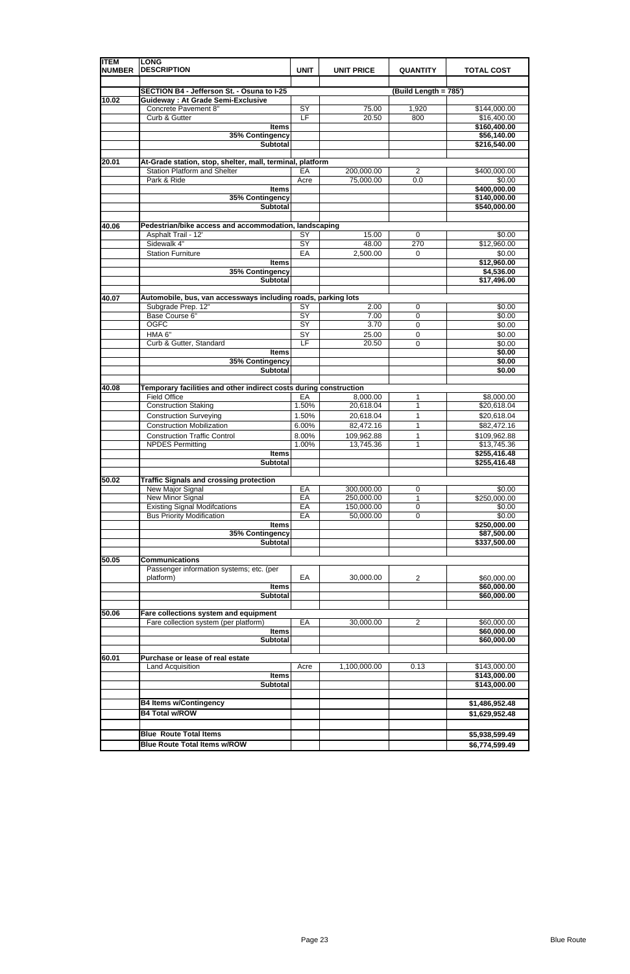| <b>ITEM</b><br><b>NUMBER</b> | <b>LONG</b><br><b>DESCRIPTION</b>                                                                | <b>UNIT</b>           | <b>UNIT PRICE</b>       | <b>QUANTITY</b>       | <b>TOTAL COST</b>                            |
|------------------------------|--------------------------------------------------------------------------------------------------|-----------------------|-------------------------|-----------------------|----------------------------------------------|
|                              | SECTION B4 - Jefferson St. - Osuna to I-25                                                       |                       |                         |                       |                                              |
| 10.02                        | <b>Guideway: At Grade Semi-Exclusive</b>                                                         |                       |                         | (Build Length = 785') |                                              |
|                              | Concrete Pavement 8"<br>Curb & Gutter                                                            | SY<br>E               | 75.00<br>20.50          | 1,920<br>800          | \$144,000.00<br>\$16,400.00<br>\$160,400.00  |
|                              | <b>Items</b><br>35% Contingency                                                                  |                       |                         |                       | \$56,140.00                                  |
|                              | <b>Subtotal</b>                                                                                  |                       |                         |                       | \$216,540.00                                 |
|                              |                                                                                                  |                       |                         |                       |                                              |
| 20.01                        | At-Grade station, stop, shelter, mall, terminal, platform<br><b>Station Platform and Shelter</b> | EA                    | 200,000.00              | 2                     | \$400,000.00                                 |
|                              | Park & Ride                                                                                      | Acre                  | 75,000.00               | 0.0                   | \$0.00                                       |
|                              | <b>Items</b><br>35% Contingency<br><b>Subtotal</b>                                               |                       |                         |                       | \$400,000.00<br>\$140,000.00<br>\$540,000.00 |
|                              |                                                                                                  |                       |                         |                       |                                              |
| 40.06                        | Pedestrian/bike access and accommodation, landscaping<br>Asphalt Trail - 12'<br>Sidewalk 4"      | SY                    | 15.00                   | $\mathbf 0$           | \$0.00                                       |
|                              |                                                                                                  | $\overline{SY}$<br>EA | 48.00                   | 270                   | \$12,960.00                                  |
|                              | <b>Station Furniture</b><br><b>Items</b>                                                         |                       | 2,500.00                | $\mathbf 0$           | \$0.00<br>\$12,960.00                        |
|                              | 35% Contingency                                                                                  |                       |                         |                       | \$4,536.00                                   |
|                              | <b>Subtotal</b>                                                                                  |                       |                         |                       | \$17,496.00                                  |
| 40.07                        | Automobile, bus, van accessways including roads, parking lots                                    |                       |                         |                       |                                              |
|                              | Subgrade Prep. 12"                                                                               | $\overline{SY}$       | 2.00                    | $\mathbf 0$           | \$0.00                                       |
|                              | Base Course 6"                                                                                   | $\overline{SY}$       | 7.00                    | $\mathbf 0$           | \$0.00                                       |
|                              | <b>OGFC</b>                                                                                      | SY                    | 3.70                    | $\mathbf 0$           | \$0.00                                       |
|                              | HMA 6"<br>Curb & Gutter, Standard                                                                | SY<br>LF              | 25.00<br>20.50          | 0<br>$\mathbf 0$      | \$0.00<br>\$0.00                             |
|                              | <b>Items</b>                                                                                     |                       |                         |                       | \$0.00                                       |
|                              | 35% Contingency                                                                                  |                       |                         |                       | \$0.00                                       |
|                              | <b>Subtotal</b>                                                                                  |                       |                         |                       | \$0.00                                       |
| 40.08                        | Temporary facilities and other indirect costs during construction                                |                       |                         |                       |                                              |
|                              | <b>Field Office</b>                                                                              | EA                    | 8,000.00                | 1                     | \$8,000.00                                   |
|                              | <b>Construction Staking</b>                                                                      | 1.50%                 | 20,618.04               | 1                     | \$20,618.04                                  |
|                              | <b>Construction Surveying</b>                                                                    | 1.50%                 | 20,618.04               | 1                     | \$20,618.04                                  |
|                              | <b>Construction Mobilization</b>                                                                 | 6.00%                 | 82,472.16               | 1                     | \$82,472.16                                  |
|                              | <b>Construction Traffic Control</b><br><b>NPDES Permitting</b>                                   | 8.00%<br>1.00%        | 109,962.88<br>13,745.36 | 1<br>1                | \$109,962.88                                 |
|                              | <b>Items</b><br>Subtotal                                                                         |                       |                         |                       | \$13,745.36<br>\$255,416.48<br>\$255,416.48  |
| 50.02                        | <b>Traffic Signals and crossing protection</b>                                                   |                       |                         |                       |                                              |
|                              | New Major Signal                                                                                 | EA                    | 300,000.00              | 0                     | \$0.00                                       |
|                              | <b>New Minor Signal</b>                                                                          | EA                    | 250,000.00              | 1                     | \$250,000.00                                 |
|                              | <b>Existing Signal Modifcations</b>                                                              | EA                    | 150,000.00              | 0                     | \$0.00                                       |
|                              | <b>Bus Priority Modification</b>                                                                 | EA                    | 50,000.00               | $\mathbf 0$           | \$0.00                                       |
|                              | <b>Items</b><br>35% Contingency                                                                  |                       |                         |                       | \$250,000.00<br>\$87,500.00                  |
|                              | <b>Subtotal</b>                                                                                  |                       |                         |                       | \$337,500.00                                 |
|                              |                                                                                                  |                       |                         |                       |                                              |
| 50.05                        | <b>Communications</b>                                                                            |                       |                         |                       |                                              |
|                              | Passenger information systems; etc. (per                                                         | EA                    |                         |                       |                                              |
|                              | platform)<br><b>Items</b>                                                                        |                       | 30,000.00               | $\overline{c}$        | \$60,000.00<br>\$60,000.00                   |
|                              | Subtotal                                                                                         |                       |                         |                       | \$60,000.00                                  |
|                              |                                                                                                  |                       |                         |                       |                                              |
| 50.06                        | Fare collections system and equipment                                                            |                       |                         |                       |                                              |
|                              | Fare collection system (per platform)                                                            | EA                    | 30,000.00               | $\overline{2}$        | \$60,000.00                                  |
|                              | <b>Items</b>                                                                                     |                       |                         |                       | \$60,000.00                                  |
|                              | <b>Subtotal</b>                                                                                  |                       |                         |                       | \$60,000.00                                  |
| 60.01                        | Purchase or lease of real estate                                                                 |                       |                         |                       |                                              |
|                              | Land Acquisition                                                                                 | Acre                  | 1,100,000.00            | 0.13                  | \$143,000.00                                 |
|                              | <b>Items</b>                                                                                     |                       |                         |                       | \$143,000.00                                 |
|                              | <b>Subtotal</b>                                                                                  |                       |                         |                       | \$143,000.00                                 |
|                              |                                                                                                  |                       |                         |                       |                                              |
|                              | <b>B4 Items w/Contingency</b>                                                                    |                       |                         |                       | \$1,486,952.48                               |
|                              | <b>B4 Total w/ROW</b>                                                                            |                       |                         |                       | \$1,629,952.48                               |
|                              |                                                                                                  |                       |                         |                       |                                              |
|                              | <b>Blue Route Total Items</b>                                                                    |                       |                         |                       | \$5,938,599.49                               |
|                              | <b>Blue Route Total Items w/ROW</b>                                                              |                       |                         |                       | \$6,774,599.49                               |